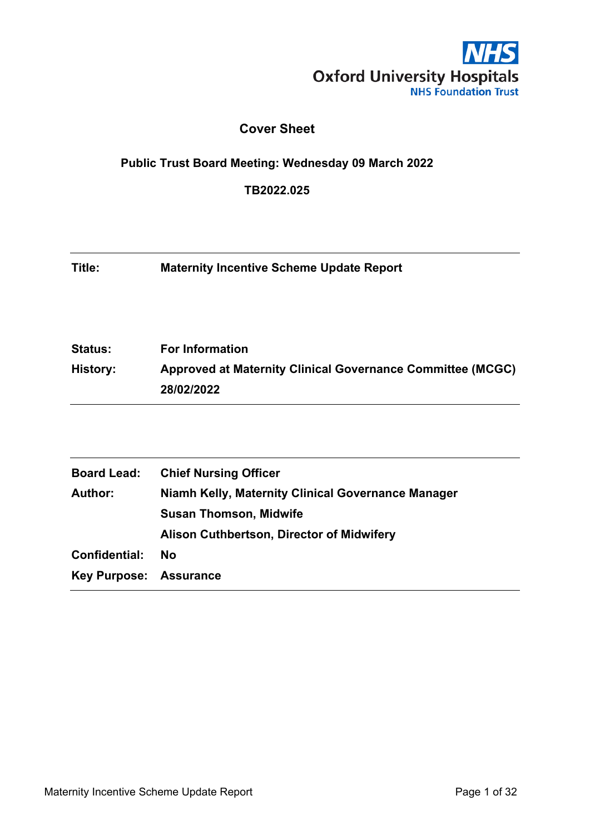

## **Cover Sheet**

#### **Public Trust Board Meeting: Wednesday 09 March 2022**

**TB2022.025**

**Title: Maternity Incentive Scheme Update Report**

**Status: For Information History: Approved at Maternity Clinical Governance Committee (MCGC) 28/02/2022**

| <b>Board Lead:</b>     | <b>Chief Nursing Officer</b>                       |
|------------------------|----------------------------------------------------|
| <b>Author:</b>         | Niamh Kelly, Maternity Clinical Governance Manager |
|                        | <b>Susan Thomson, Midwife</b>                      |
|                        | Alison Cuthbertson, Director of Midwifery          |
| Confidential:          | <b>No</b>                                          |
| Key Purpose: Assurance |                                                    |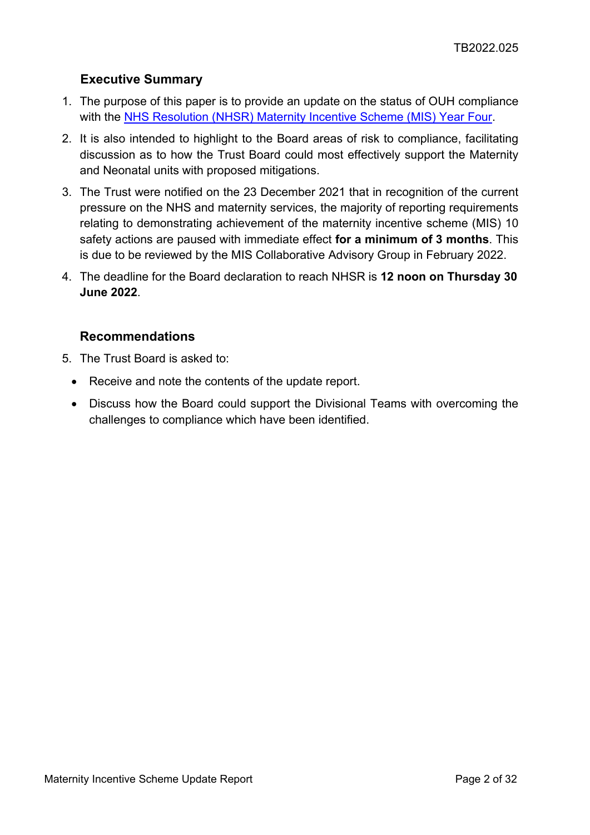## <span id="page-1-0"></span>**Executive Summary**

- 1. The purpose of this paper is to provide an update on the status of OUH compliance with the [NHS Resolution \(NHSR\) Maternity Incentive Scheme \(MIS\) Year Four.](https://resolution.nhs.uk/wp-content/uploads/2021/08/MIS-Y4-guidance.pdf)
- 2. It is also intended to highlight to the Board areas of risk to compliance, facilitating discussion as to how the Trust Board could most effectively support the Maternity and Neonatal units with proposed mitigations.
- 3. The Trust were notified on the 23 December 2021 that in recognition of the current pressure on the NHS and maternity services, the majority of reporting requirements relating to demonstrating achievement of the maternity incentive scheme (MIS) 10 safety actions are paused with immediate effect **for a minimum of 3 months**. This is due to be reviewed by the MIS Collaborative Advisory Group in February 2022.
- 4. The deadline for the Board declaration to reach NHSR is **12 noon on Thursday 30 June 2022**.

#### **Recommendations**

- 5. The Trust Board is asked to:
	- Receive and note the contents of the update report.
	- Discuss how the Board could support the Divisional Teams with overcoming the challenges to compliance which have been identified.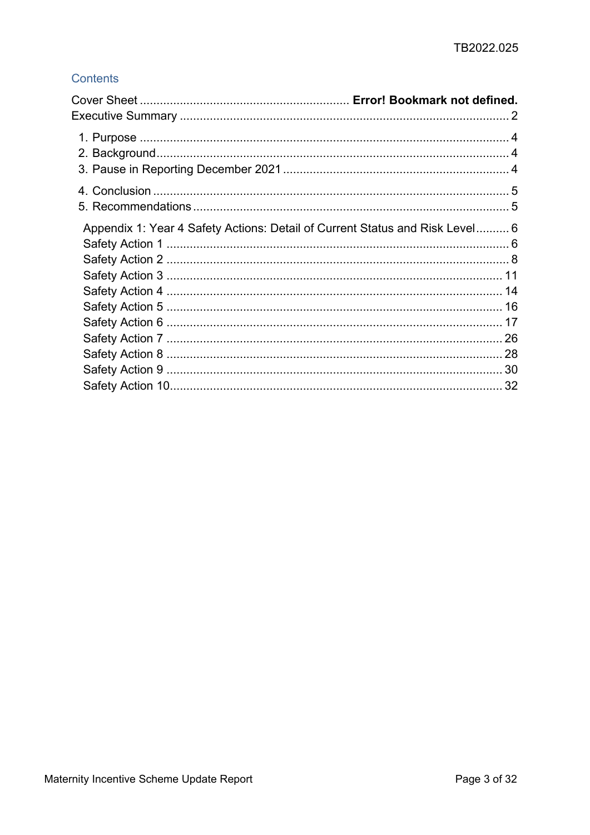## Contents

| Appendix 1: Year 4 Safety Actions: Detail of Current Status and Risk Level 6 |  |
|------------------------------------------------------------------------------|--|
|                                                                              |  |
|                                                                              |  |
|                                                                              |  |
|                                                                              |  |
|                                                                              |  |
|                                                                              |  |
|                                                                              |  |
|                                                                              |  |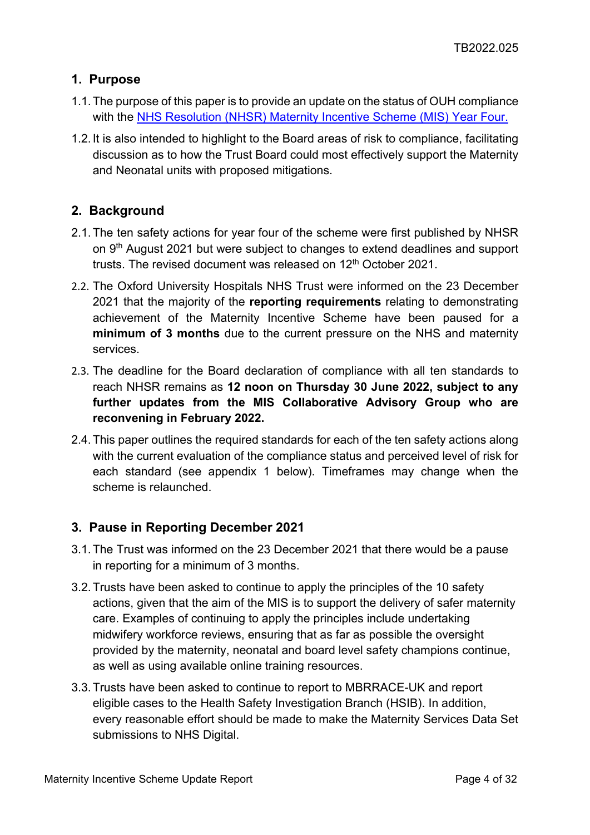## <span id="page-3-0"></span>**1. Purpose**

- 1.1.The purpose of this paper is to provide an update on the status of OUH compliance with the [NHS Resolution \(NHSR\) Maternity Incentive Scheme \(MIS\) Year Four.](https://resolution.nhs.uk/wp-content/uploads/2021/08/MIS-Y4-guidance.pdf)
- 1.2.It is also intended to highlight to the Board areas of risk to compliance, facilitating discussion as to how the Trust Board could most effectively support the Maternity and Neonatal units with proposed mitigations.

## <span id="page-3-1"></span>**2. Background**

- 2.1.The ten safety actions for year four of the scheme were first published by NHSR on 9<sup>th</sup> August 2021 but were subject to changes to extend deadlines and support trusts. The revised document was released on 12<sup>th</sup> October 2021.
- 2.2. The Oxford University Hospitals NHS Trust were informed on the 23 December 2021 that the majority of the **reporting requirements** relating to demonstrating achievement of the Maternity Incentive Scheme have been paused for a **minimum of 3 months** due to the current pressure on the NHS and maternity services.
- 2.3. The deadline for the Board declaration of compliance with all ten standards to reach NHSR remains as **12 noon on Thursday 30 June 2022, subject to any further updates from the MIS Collaborative Advisory Group who are reconvening in February 2022.**
- 2.4.This paper outlines the required standards for each of the ten safety actions along with the current evaluation of the compliance status and perceived level of risk for each standard (see appendix 1 below). Timeframes may change when the scheme is relaunched.

### <span id="page-3-2"></span>**3. Pause in Reporting December 2021**

- 3.1.The Trust was informed on the 23 December 2021 that there would be a pause in reporting for a minimum of 3 months.
- 3.2.Trusts have been asked to continue to apply the principles of the 10 safety actions, given that the aim of the MIS is to support the delivery of safer maternity care. Examples of continuing to apply the principles include undertaking midwifery workforce reviews, ensuring that as far as possible the oversight provided by the maternity, neonatal and board level safety champions continue, as well as using available online training resources.
- 3.3.Trusts have been asked to continue to report to MBRRACE-UK and report eligible cases to the Health Safety Investigation Branch (HSIB). In addition, every reasonable effort should be made to make the Maternity Services Data Set submissions to NHS Digital.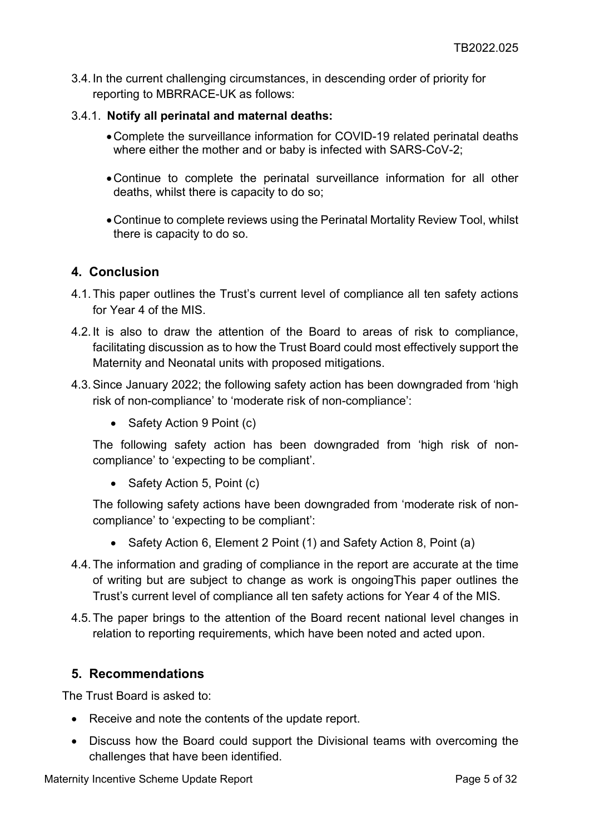3.4.In the current challenging circumstances, in descending order of priority for reporting to MBRRACE-UK as follows:

#### 3.4.1. **Notify all perinatal and maternal deaths:**

- •Complete the surveillance information for COVID-19 related perinatal deaths where either the mother and or baby is infected with SARS-CoV-2;
- •Continue to complete the perinatal surveillance information for all other deaths, whilst there is capacity to do so;
- •Continue to complete reviews using the Perinatal Mortality Review Tool, whilst there is capacity to do so.

#### <span id="page-4-0"></span>**4. Conclusion**

- 4.1.This paper outlines the Trust's current level of compliance all ten safety actions for Year 4 of the MIS.
- 4.2.It is also to draw the attention of the Board to areas of risk to compliance, facilitating discussion as to how the Trust Board could most effectively support the Maternity and Neonatal units with proposed mitigations.
- 4.3.Since January 2022; the following safety action has been downgraded from 'high risk of non-compliance' to 'moderate risk of non-compliance':
	- Safety Action 9 Point (c)

The following safety action has been downgraded from 'high risk of noncompliance' to 'expecting to be compliant'.

• Safety Action 5, Point (c)

The following safety actions have been downgraded from 'moderate risk of noncompliance' to 'expecting to be compliant':

- Safety Action 6, Element 2 Point (1) and Safety Action 8, Point (a)
- 4.4.The information and grading of compliance in the report are accurate at the time of writing but are subject to change as work is ongoingThis paper outlines the Trust's current level of compliance all ten safety actions for Year 4 of the MIS.
- 4.5.The paper brings to the attention of the Board recent national level changes in relation to reporting requirements, which have been noted and acted upon.

### <span id="page-4-1"></span>**5. Recommendations**

The Trust Board is asked to:

- Receive and note the contents of the update report.
- Discuss how the Board could support the Divisional teams with overcoming the challenges that have been identified.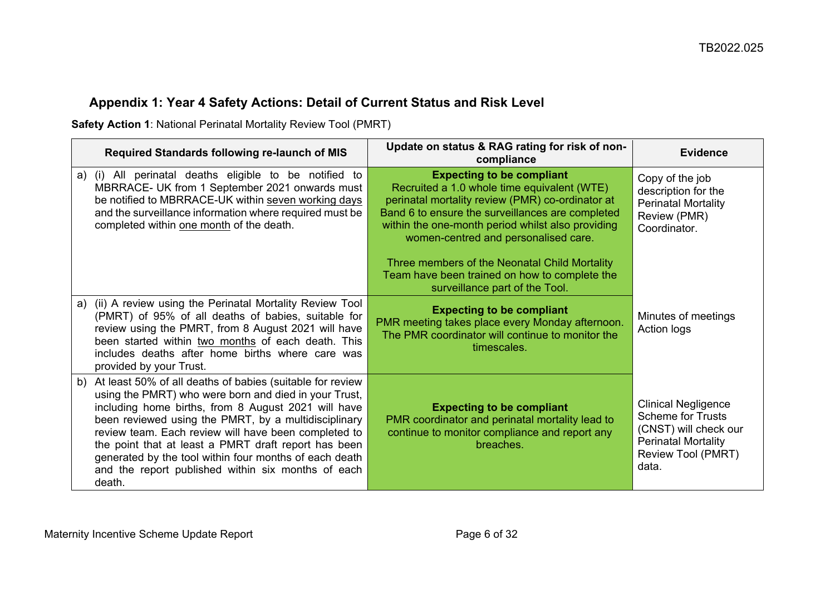# **Appendix 1: Year 4 Safety Actions: Detail of Current Status and Risk Level**

**Safety Action 1**: National Perinatal Mortality Review Tool (PMRT)

<span id="page-5-1"></span><span id="page-5-0"></span>

| Required Standards following re-launch of MIS                                                                                                                                                                                                                                                                                                                                                                                                                                     | Update on status & RAG rating for risk of non-<br>compliance                                                                                                                                                                                                                         | <b>Evidence</b>                                                                                                                              |
|-----------------------------------------------------------------------------------------------------------------------------------------------------------------------------------------------------------------------------------------------------------------------------------------------------------------------------------------------------------------------------------------------------------------------------------------------------------------------------------|--------------------------------------------------------------------------------------------------------------------------------------------------------------------------------------------------------------------------------------------------------------------------------------|----------------------------------------------------------------------------------------------------------------------------------------------|
| a) (i) All perinatal deaths eligible to be notified to<br>MBRRACE- UK from 1 September 2021 onwards must<br>be notified to MBRRACE-UK within seven working days<br>and the surveillance information where required must be<br>completed within one month of the death.                                                                                                                                                                                                            | <b>Expecting to be compliant</b><br>Recruited a 1.0 whole time equivalent (WTE)<br>perinatal mortality review (PMR) co-ordinator at<br>Band 6 to ensure the surveillances are completed<br>within the one-month period whilst also providing<br>women-centred and personalised care. | Copy of the job<br>description for the<br><b>Perinatal Mortality</b><br>Review (PMR)<br>Coordinator.                                         |
|                                                                                                                                                                                                                                                                                                                                                                                                                                                                                   | Three members of the Neonatal Child Mortality<br>Team have been trained on how to complete the<br>surveillance part of the Tool.                                                                                                                                                     |                                                                                                                                              |
| a) (ii) A review using the Perinatal Mortality Review Tool<br>(PMRT) of 95% of all deaths of babies, suitable for<br>review using the PMRT, from 8 August 2021 will have<br>been started within two months of each death. This<br>includes deaths after home births where care was<br>provided by your Trust.                                                                                                                                                                     | <b>Expecting to be compliant</b><br>PMR meeting takes place every Monday afternoon.<br>The PMR coordinator will continue to monitor the<br>timescales.                                                                                                                               | Minutes of meetings<br>Action logs                                                                                                           |
| At least 50% of all deaths of babies (suitable for review<br>b)<br>using the PMRT) who were born and died in your Trust,<br>including home births, from 8 August 2021 will have<br>been reviewed using the PMRT, by a multidisciplinary<br>review team. Each review will have been completed to<br>the point that at least a PMRT draft report has been<br>generated by the tool within four months of each death<br>and the report published within six months of each<br>death. | <b>Expecting to be compliant</b><br>PMR coordinator and perinatal mortality lead to<br>continue to monitor compliance and report any<br>breaches.                                                                                                                                    | <b>Clinical Negligence</b><br><b>Scheme for Trusts</b><br>(CNST) will check our<br><b>Perinatal Mortality</b><br>Review Tool (PMRT)<br>data. |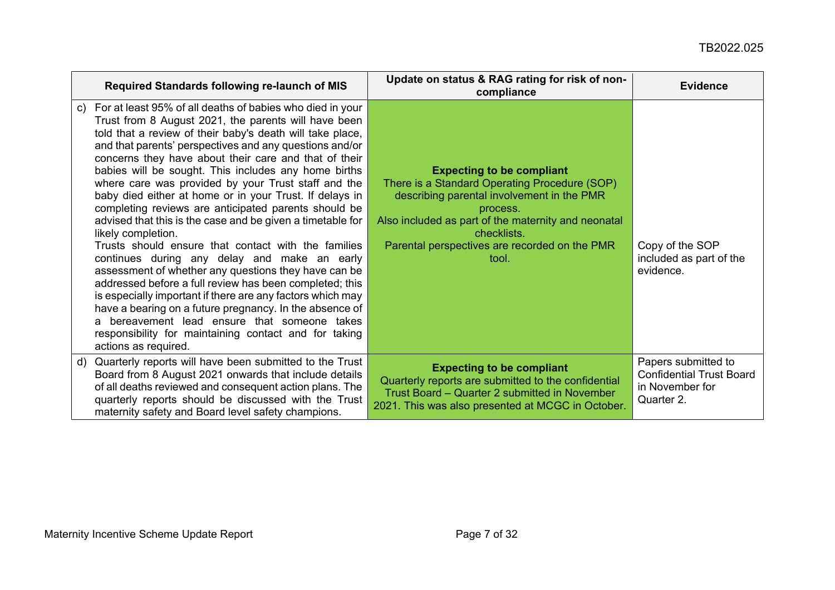| <b>Required Standards following re-launch of MIS</b>                                                                                                                                                                                                                                                                                                                                                                                                                                                                                                                                                                                                                                                                                                                                                                                                                                                                                                                                                                                                                                                               | Update on status & RAG rating for risk of non-<br>compliance                                                                                                                                                                                                                | <b>Evidence</b>                                                                         |
|--------------------------------------------------------------------------------------------------------------------------------------------------------------------------------------------------------------------------------------------------------------------------------------------------------------------------------------------------------------------------------------------------------------------------------------------------------------------------------------------------------------------------------------------------------------------------------------------------------------------------------------------------------------------------------------------------------------------------------------------------------------------------------------------------------------------------------------------------------------------------------------------------------------------------------------------------------------------------------------------------------------------------------------------------------------------------------------------------------------------|-----------------------------------------------------------------------------------------------------------------------------------------------------------------------------------------------------------------------------------------------------------------------------|-----------------------------------------------------------------------------------------|
| For at least 95% of all deaths of babies who died in your<br>C)<br>Trust from 8 August 2021, the parents will have been<br>told that a review of their baby's death will take place,<br>and that parents' perspectives and any questions and/or<br>concerns they have about their care and that of their<br>babies will be sought. This includes any home births<br>where care was provided by your Trust staff and the<br>baby died either at home or in your Trust. If delays in<br>completing reviews are anticipated parents should be<br>advised that this is the case and be given a timetable for<br>likely completion.<br>Trusts should ensure that contact with the families<br>continues during any delay and make an early<br>assessment of whether any questions they have can be<br>addressed before a full review has been completed; this<br>is especially important if there are any factors which may<br>have a bearing on a future pregnancy. In the absence of<br>a bereavement lead ensure that someone takes<br>responsibility for maintaining contact and for taking<br>actions as required. | <b>Expecting to be compliant</b><br>There is a Standard Operating Procedure (SOP)<br>describing parental involvement in the PMR<br>process.<br>Also included as part of the maternity and neonatal<br>checklists.<br>Parental perspectives are recorded on the PMR<br>tool. | Copy of the SOP<br>included as part of the<br>evidence.                                 |
| Quarterly reports will have been submitted to the Trust<br>d)<br>Board from 8 August 2021 onwards that include details<br>of all deaths reviewed and consequent action plans. The<br>quarterly reports should be discussed with the Trust<br>maternity safety and Board level safety champions.                                                                                                                                                                                                                                                                                                                                                                                                                                                                                                                                                                                                                                                                                                                                                                                                                    | <b>Expecting to be compliant</b><br>Quarterly reports are submitted to the confidential<br>Trust Board – Quarter 2 submitted in November<br>2021. This was also presented at MCGC in October.                                                                               | Papers submitted to<br><b>Confidential Trust Board</b><br>in November for<br>Quarter 2. |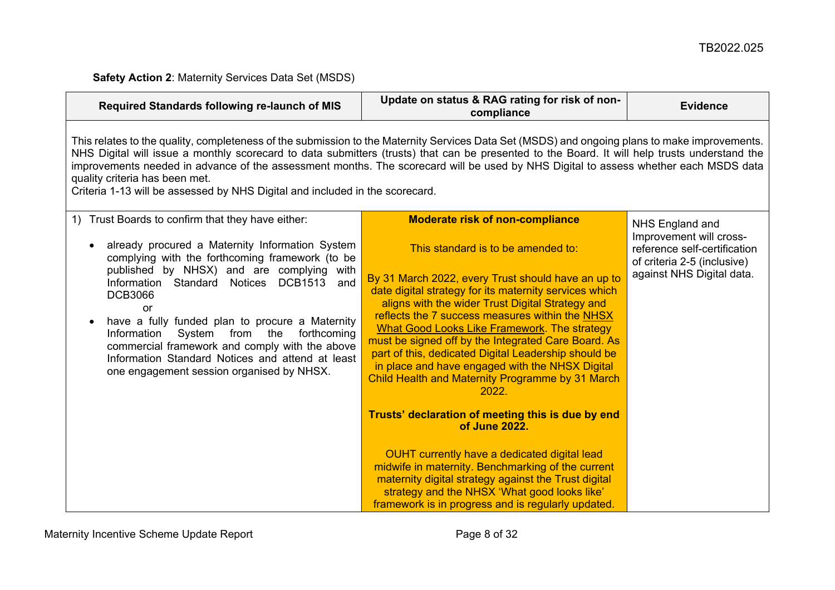**Safety Action 2**: Maternity Services Data Set (MSDS)

<span id="page-7-0"></span>

| Required Standards following re-launch of MIS                                                                                                                                                                                                                                                                                                                                                                                                                                                                                                           | Update on status & RAG rating for risk of non-<br>compliance                                                                                                                                                                                                                                                                                                                                                                                                                                                                                                                                                                                                                                                                                                                                                                                                                                                                       | <b>Evidence</b>                                                                                                                        |  |
|---------------------------------------------------------------------------------------------------------------------------------------------------------------------------------------------------------------------------------------------------------------------------------------------------------------------------------------------------------------------------------------------------------------------------------------------------------------------------------------------------------------------------------------------------------|------------------------------------------------------------------------------------------------------------------------------------------------------------------------------------------------------------------------------------------------------------------------------------------------------------------------------------------------------------------------------------------------------------------------------------------------------------------------------------------------------------------------------------------------------------------------------------------------------------------------------------------------------------------------------------------------------------------------------------------------------------------------------------------------------------------------------------------------------------------------------------------------------------------------------------|----------------------------------------------------------------------------------------------------------------------------------------|--|
| This relates to the quality, completeness of the submission to the Maternity Services Data Set (MSDS) and ongoing plans to make improvements.<br>NHS Digital will issue a monthly scorecard to data submitters (trusts) that can be presented to the Board. It will help trusts understand the<br>improvements needed in advance of the assessment months. The scorecard will be used by NHS Digital to assess whether each MSDS data<br>quality criteria has been met.<br>Criteria 1-13 will be assessed by NHS Digital and included in the scorecard. |                                                                                                                                                                                                                                                                                                                                                                                                                                                                                                                                                                                                                                                                                                                                                                                                                                                                                                                                    |                                                                                                                                        |  |
| Trust Boards to confirm that they have either:<br>1)<br>already procured a Maternity Information System<br>complying with the forthcoming framework (to be<br>published by NHSX) and are complying<br>with<br><b>DCB1513</b><br>Information Standard Notices<br>and<br><b>DCB3066</b><br>or<br>have a fully funded plan to procure a Maternity<br>Information<br>System from the<br>forthcoming<br>commercial framework and comply with the above<br>Information Standard Notices and attend at least<br>one engagement session organised by NHSX.      | <b>Moderate risk of non-compliance</b><br>This standard is to be amended to:<br>By 31 March 2022, every Trust should have an up to<br>date digital strategy for its maternity services which<br>aligns with the wider Trust Digital Strategy and<br>reflects the 7 success measures within the NHSX<br><b>What Good Looks Like Framework. The strategy</b><br>must be signed off by the Integrated Care Board. As<br>part of this, dedicated Digital Leadership should be<br>in place and have engaged with the NHSX Digital<br>Child Health and Maternity Programme by 31 March<br>2022.<br>Trusts' declaration of meeting this is due by end<br>of June 2022.<br>OUHT currently have a dedicated digital lead<br>midwife in maternity. Benchmarking of the current<br>maternity digital strategy against the Trust digital<br>strategy and the NHSX 'What good looks like'<br>framework is in progress and is regularly updated. | NHS England and<br>Improvement will cross-<br>reference self-certification<br>of criteria 2-5 (inclusive)<br>against NHS Digital data. |  |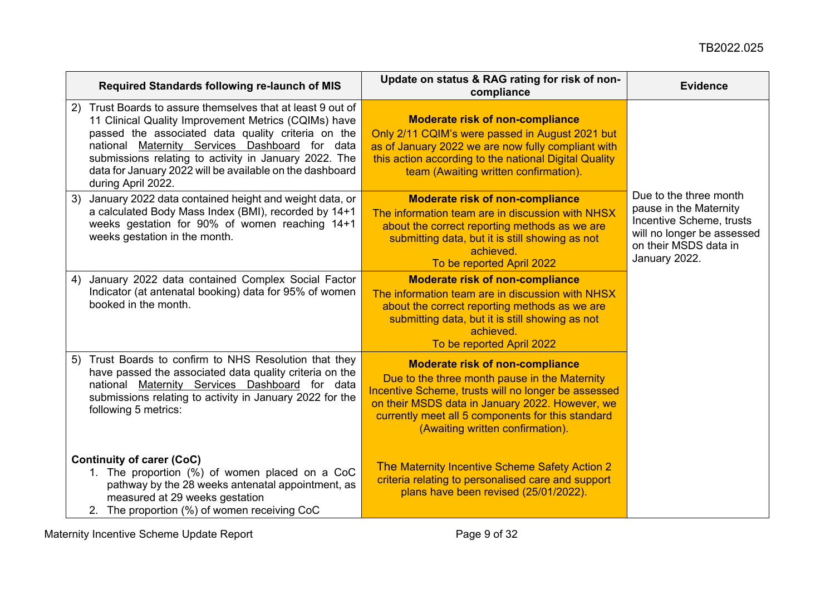| Required Standards following re-launch of MIS                                                                                                                                                                                                                                                                                                                             | Update on status & RAG rating for risk of non-<br>compliance                                                                                                                                                                                                                               | <b>Evidence</b>                                                                                                                                      |
|---------------------------------------------------------------------------------------------------------------------------------------------------------------------------------------------------------------------------------------------------------------------------------------------------------------------------------------------------------------------------|--------------------------------------------------------------------------------------------------------------------------------------------------------------------------------------------------------------------------------------------------------------------------------------------|------------------------------------------------------------------------------------------------------------------------------------------------------|
| Trust Boards to assure themselves that at least 9 out of<br>2)<br>11 Clinical Quality Improvement Metrics (CQIMs) have<br>passed the associated data quality criteria on the<br>national Maternity Services Dashboard for data<br>submissions relating to activity in January 2022. The<br>data for January 2022 will be available on the dashboard<br>during April 2022. | <b>Moderate risk of non-compliance</b><br>Only 2/11 CQIM's were passed in August 2021 but<br>as of January 2022 we are now fully compliant with<br>this action according to the national Digital Quality<br>team (Awaiting written confirmation).                                          |                                                                                                                                                      |
| January 2022 data contained height and weight data, or<br>3)<br>a calculated Body Mass Index (BMI), recorded by 14+1<br>weeks gestation for 90% of women reaching 14+1<br>weeks gestation in the month.                                                                                                                                                                   | <b>Moderate risk of non-compliance</b><br>The information team are in discussion with NHSX<br>about the correct reporting methods as we are<br>submitting data, but it is still showing as not<br>achieved.<br>To be reported April 2022                                                   | Due to the three month<br>pause in the Maternity<br>Incentive Scheme, trusts<br>will no longer be assessed<br>on their MSDS data in<br>January 2022. |
| January 2022 data contained Complex Social Factor<br>4)<br>Indicator (at antenatal booking) data for 95% of women<br>booked in the month.                                                                                                                                                                                                                                 | <b>Moderate risk of non-compliance</b><br>The information team are in discussion with NHSX<br>about the correct reporting methods as we are<br>submitting data, but it is still showing as not<br>achieved.<br>To be reported April 2022                                                   |                                                                                                                                                      |
| Trust Boards to confirm to NHS Resolution that they<br>5)<br>have passed the associated data quality criteria on the<br>national Maternity Services Dashboard for data<br>submissions relating to activity in January 2022 for the<br>following 5 metrics:                                                                                                                | <b>Moderate risk of non-compliance</b><br>Due to the three month pause in the Maternity<br>Incentive Scheme, trusts will no longer be assessed<br>on their MSDS data in January 2022. However, we<br>currently meet all 5 components for this standard<br>(Awaiting written confirmation). |                                                                                                                                                      |
| <b>Continuity of carer (CoC)</b><br>1. The proportion (%) of women placed on a CoC<br>pathway by the 28 weeks antenatal appointment, as<br>measured at 29 weeks gestation<br>2. The proportion (%) of women receiving CoC                                                                                                                                                 | The Maternity Incentive Scheme Safety Action 2<br>criteria relating to personalised care and support<br>plans have been revised (25/01/2022).                                                                                                                                              |                                                                                                                                                      |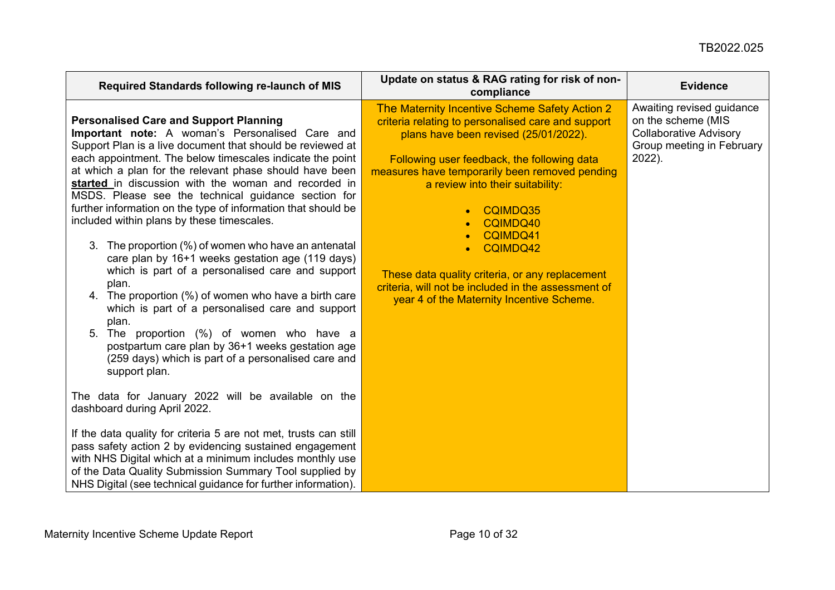| Required Standards following re-launch of MIS                                                                                                                                                                                                                                                                                                                                                                                                                                                                                                                                                                                                                                                                                                                                                                                                                                                                                                                                                         | Update on status & RAG rating for risk of non-<br>compliance                                                                                                                                                                                                                                                                                                                                                                                                                                                        | <b>Evidence</b>                                                                                                            |
|-------------------------------------------------------------------------------------------------------------------------------------------------------------------------------------------------------------------------------------------------------------------------------------------------------------------------------------------------------------------------------------------------------------------------------------------------------------------------------------------------------------------------------------------------------------------------------------------------------------------------------------------------------------------------------------------------------------------------------------------------------------------------------------------------------------------------------------------------------------------------------------------------------------------------------------------------------------------------------------------------------|---------------------------------------------------------------------------------------------------------------------------------------------------------------------------------------------------------------------------------------------------------------------------------------------------------------------------------------------------------------------------------------------------------------------------------------------------------------------------------------------------------------------|----------------------------------------------------------------------------------------------------------------------------|
| <b>Personalised Care and Support Planning</b><br><b>Important note:</b> A woman's Personalised Care and<br>Support Plan is a live document that should be reviewed at<br>each appointment. The below timescales indicate the point<br>at which a plan for the relevant phase should have been<br>started in discussion with the woman and recorded in<br>MSDS. Please see the technical guidance section for<br>further information on the type of information that should be<br>included within plans by these timescales.<br>3. The proportion (%) of women who have an antenatal<br>care plan by 16+1 weeks gestation age (119 days)<br>which is part of a personalised care and support<br>plan.<br>4. The proportion (%) of women who have a birth care<br>which is part of a personalised care and support<br>plan.<br>The proportion (%) of women who have a<br>5.<br>postpartum care plan by 36+1 weeks gestation age<br>(259 days) which is part of a personalised care and<br>support plan. | The Maternity Incentive Scheme Safety Action 2<br>criteria relating to personalised care and support<br>plans have been revised (25/01/2022).<br>Following user feedback, the following data<br>measures have temporarily been removed pending<br>a review into their suitability:<br>CQIMDQ35<br>$\bullet$<br>CQIMDQ40<br>CQIMDQ41<br>CQIMDQ42<br>$\bullet$<br>These data quality criteria, or any replacement<br>criteria, will not be included in the assessment of<br>year 4 of the Maternity Incentive Scheme. | Awaiting revised guidance<br>on the scheme (MIS<br><b>Collaborative Advisory</b><br>Group meeting in February<br>$2022$ ). |
| The data for January 2022 will be available on the<br>dashboard during April 2022.                                                                                                                                                                                                                                                                                                                                                                                                                                                                                                                                                                                                                                                                                                                                                                                                                                                                                                                    |                                                                                                                                                                                                                                                                                                                                                                                                                                                                                                                     |                                                                                                                            |
| If the data quality for criteria 5 are not met, trusts can still<br>pass safety action 2 by evidencing sustained engagement<br>with NHS Digital which at a minimum includes monthly use<br>of the Data Quality Submission Summary Tool supplied by<br>NHS Digital (see technical guidance for further information).                                                                                                                                                                                                                                                                                                                                                                                                                                                                                                                                                                                                                                                                                   |                                                                                                                                                                                                                                                                                                                                                                                                                                                                                                                     |                                                                                                                            |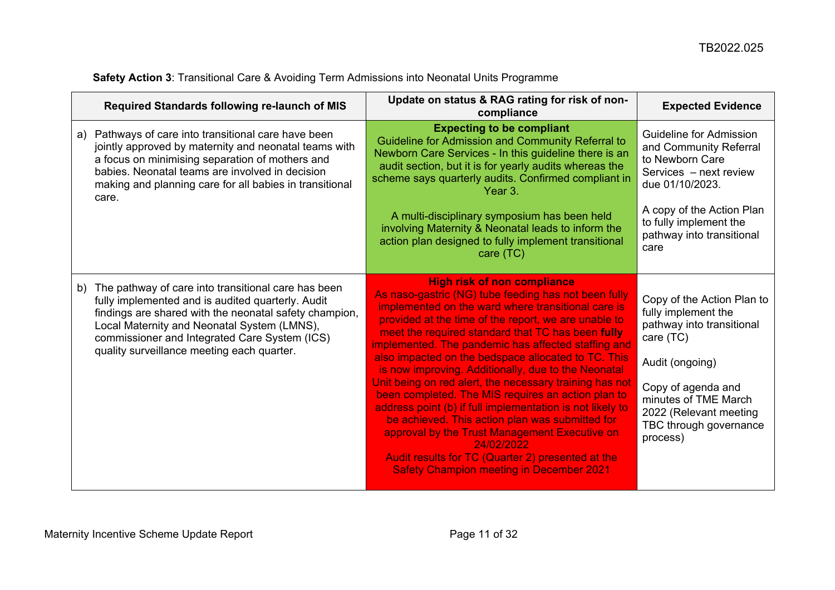<span id="page-10-0"></span>

|    | Required Standards following re-launch of MIS                                                                                                                                                                                                                                                                    | Update on status & RAG rating for risk of non-<br>compliance                                                                                                                                                                                                                                                                                                                                                                                                                                                                                                                                                                                                                                                                                                                                                                               | <b>Expected Evidence</b>                                                                                                                                                                                                     |
|----|------------------------------------------------------------------------------------------------------------------------------------------------------------------------------------------------------------------------------------------------------------------------------------------------------------------|--------------------------------------------------------------------------------------------------------------------------------------------------------------------------------------------------------------------------------------------------------------------------------------------------------------------------------------------------------------------------------------------------------------------------------------------------------------------------------------------------------------------------------------------------------------------------------------------------------------------------------------------------------------------------------------------------------------------------------------------------------------------------------------------------------------------------------------------|------------------------------------------------------------------------------------------------------------------------------------------------------------------------------------------------------------------------------|
| a) | Pathways of care into transitional care have been<br>jointly approved by maternity and neonatal teams with<br>a focus on minimising separation of mothers and<br>babies. Neonatal teams are involved in decision<br>making and planning care for all babies in transitional<br>care.                             | <b>Expecting to be compliant</b><br>Guideline for Admission and Community Referral to<br>Newborn Care Services - In this guideline there is an<br>audit section, but it is for yearly audits whereas the<br>scheme says quarterly audits. Confirmed compliant in<br>Year 3.                                                                                                                                                                                                                                                                                                                                                                                                                                                                                                                                                                | <b>Guideline for Admission</b><br>and Community Referral<br>to Newborn Care<br>Services - next review<br>due 01/10/2023.                                                                                                     |
|    |                                                                                                                                                                                                                                                                                                                  | A multi-disciplinary symposium has been held<br>involving Maternity & Neonatal leads to inform the<br>action plan designed to fully implement transitional<br>care (TC)                                                                                                                                                                                                                                                                                                                                                                                                                                                                                                                                                                                                                                                                    | A copy of the Action Plan<br>to fully implement the<br>pathway into transitional<br>care                                                                                                                                     |
| b) | The pathway of care into transitional care has been<br>fully implemented and is audited quarterly. Audit<br>findings are shared with the neonatal safety champion,<br>Local Maternity and Neonatal System (LMNS),<br>commissioner and Integrated Care System (ICS)<br>quality surveillance meeting each quarter. | <b>High risk of non compliance</b><br>As naso-gastric (NG) tube feeding has not been fully<br>implemented on the ward where transitional care is<br>provided at the time of the report, we are unable to<br>meet the required standard that TC has been fully<br>implemented. The pandemic has affected staffing and<br>also impacted on the bedspace allocated to TC. This<br>is now improving. Additionally, due to the Neonatal<br>Unit being on red alert, the necessary training has not<br>been completed. The MIS requires an action plan to<br>address point (b) if full implementation is not likely to<br>be achieved. This action plan was submitted for<br>approval by the Trust Management Executive on<br>24/02/2022<br>Audit results for TC (Quarter 2) presented at the<br><b>Safety Champion meeting in December 2021</b> | Copy of the Action Plan to<br>fully implement the<br>pathway into transitional<br>care (TC)<br>Audit (ongoing)<br>Copy of agenda and<br>minutes of TME March<br>2022 (Relevant meeting<br>TBC through governance<br>process) |

# **Safety Action 3**: Transitional Care & Avoiding Term Admissions into Neonatal Units Programme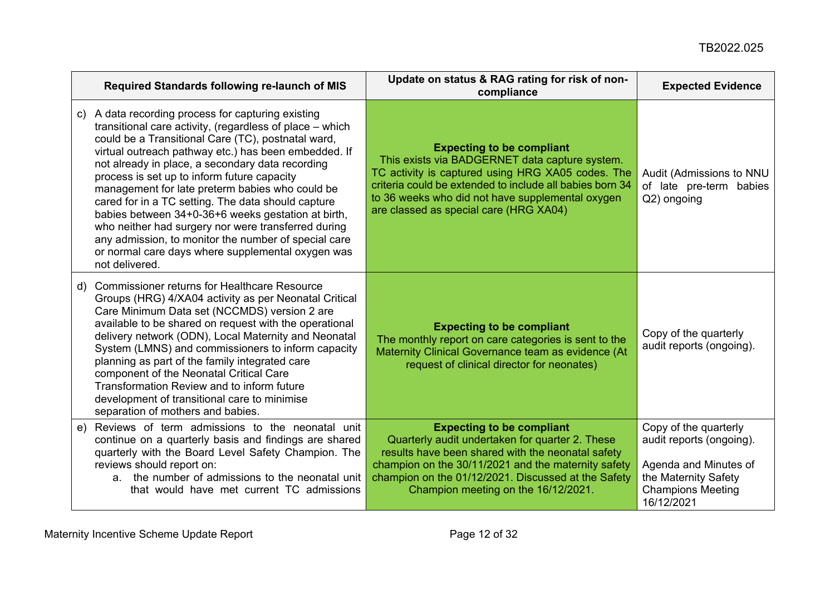| Required Standards following re-launch of MIS                                                                                                                                                                                                                                                                                                                                                                                                                                                                                                                                                                                                                                        | Update on status & RAG rating for risk of non-<br>compliance                                                                                                                                                                                                                                      | <b>Expected Evidence</b>                                                                                                                     |
|--------------------------------------------------------------------------------------------------------------------------------------------------------------------------------------------------------------------------------------------------------------------------------------------------------------------------------------------------------------------------------------------------------------------------------------------------------------------------------------------------------------------------------------------------------------------------------------------------------------------------------------------------------------------------------------|---------------------------------------------------------------------------------------------------------------------------------------------------------------------------------------------------------------------------------------------------------------------------------------------------|----------------------------------------------------------------------------------------------------------------------------------------------|
| c) A data recording process for capturing existing<br>transitional care activity, (regardless of place – which<br>could be a Transitional Care (TC), postnatal ward,<br>virtual outreach pathway etc.) has been embedded. If<br>not already in place, a secondary data recording<br>process is set up to inform future capacity<br>management for late preterm babies who could be<br>cared for in a TC setting. The data should capture<br>babies between 34+0-36+6 weeks gestation at birth,<br>who neither had surgery nor were transferred during<br>any admission, to monitor the number of special care<br>or normal care days where supplemental oxygen was<br>not delivered. | <b>Expecting to be compliant</b><br>This exists via BADGERNET data capture system.<br>TC activity is captured using HRG XA05 codes. The<br>criteria could be extended to include all babies born 34<br>to 36 weeks who did not have supplemental oxygen<br>are classed as special care (HRG XA04) | Audit (Admissions to NNU<br>of late pre-term babies<br>Q2) ongoing                                                                           |
| d) Commissioner returns for Healthcare Resource<br>Groups (HRG) 4/XA04 activity as per Neonatal Critical<br>Care Minimum Data set (NCCMDS) version 2 are<br>available to be shared on request with the operational<br>delivery network (ODN), Local Maternity and Neonatal<br>System (LMNS) and commissioners to inform capacity<br>planning as part of the family integrated care<br>component of the Neonatal Critical Care<br>Transformation Review and to inform future<br>development of transitional care to minimise<br>separation of mothers and babies.                                                                                                                     | <b>Expecting to be compliant</b><br>The monthly report on care categories is sent to the<br>Maternity Clinical Governance team as evidence (At<br>request of clinical director for neonates)                                                                                                      | Copy of the quarterly<br>audit reports (ongoing).                                                                                            |
| Reviews of term admissions to the neonatal unit<br>e)<br>continue on a quarterly basis and findings are shared<br>quarterly with the Board Level Safety Champion. The<br>reviews should report on:<br>a. the number of admissions to the neonatal unit<br>that would have met current TC admissions                                                                                                                                                                                                                                                                                                                                                                                  | <b>Expecting to be compliant</b><br>Quarterly audit undertaken for quarter 2. These<br>results have been shared with the neonatal safety<br>champion on the 30/11/2021 and the maternity safety<br>champion on the 01/12/2021. Discussed at the Safety<br>Champion meeting on the 16/12/2021.     | Copy of the quarterly<br>audit reports (ongoing).<br>Agenda and Minutes of<br>the Maternity Safety<br><b>Champions Meeting</b><br>16/12/2021 |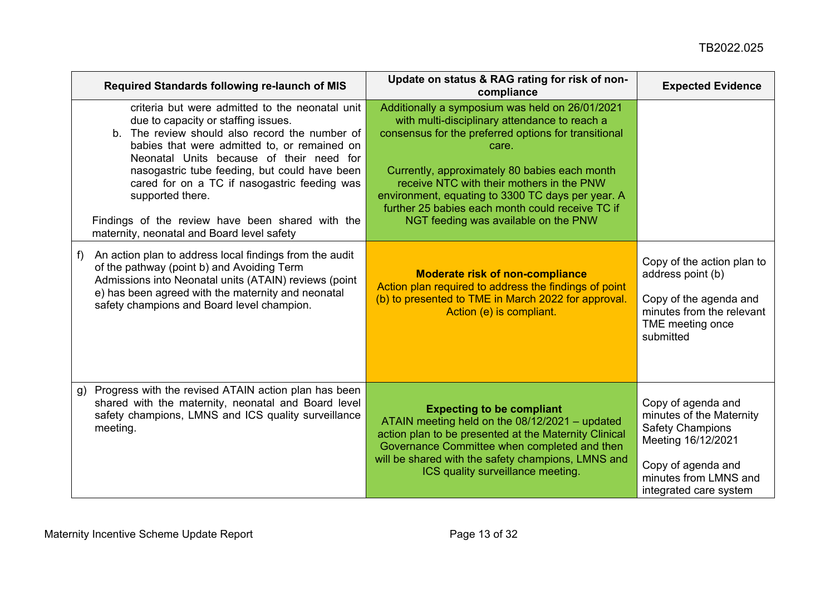| Required Standards following re-launch of MIS                                                                                                                                                                                                                                                                                                                                                                                                                  | Update on status & RAG rating for risk of non-<br>compliance                                                                                                                                                                                                                                                                                                                                                     | <b>Expected Evidence</b>                                                                                                                                                 |
|----------------------------------------------------------------------------------------------------------------------------------------------------------------------------------------------------------------------------------------------------------------------------------------------------------------------------------------------------------------------------------------------------------------------------------------------------------------|------------------------------------------------------------------------------------------------------------------------------------------------------------------------------------------------------------------------------------------------------------------------------------------------------------------------------------------------------------------------------------------------------------------|--------------------------------------------------------------------------------------------------------------------------------------------------------------------------|
| criteria but were admitted to the neonatal unit<br>due to capacity or staffing issues.<br>The review should also record the number of<br>b.<br>babies that were admitted to, or remained on<br>Neonatal Units because of their need for<br>nasogastric tube feeding, but could have been<br>cared for on a TC if nasogastric feeding was<br>supported there.<br>Findings of the review have been shared with the<br>maternity, neonatal and Board level safety | Additionally a symposium was held on 26/01/2021<br>with multi-disciplinary attendance to reach a<br>consensus for the preferred options for transitional<br>care.<br>Currently, approximately 80 babies each month<br>receive NTC with their mothers in the PNW<br>environment, equating to 3300 TC days per year. A<br>further 25 babies each month could receive TC if<br>NGT feeding was available on the PNW |                                                                                                                                                                          |
| An action plan to address local findings from the audit<br>f)<br>of the pathway (point b) and Avoiding Term<br>Admissions into Neonatal units (ATAIN) reviews (point<br>e) has been agreed with the maternity and neonatal<br>safety champions and Board level champion.                                                                                                                                                                                       | <b>Moderate risk of non-compliance</b><br>Action plan required to address the findings of point<br>(b) to presented to TME in March 2022 for approval.<br>Action (e) is compliant.                                                                                                                                                                                                                               | Copy of the action plan to<br>address point (b)<br>Copy of the agenda and<br>minutes from the relevant<br>TME meeting once<br>submitted                                  |
| Progress with the revised ATAIN action plan has been<br>g)<br>shared with the maternity, neonatal and Board level<br>safety champions, LMNS and ICS quality surveillance<br>meeting.                                                                                                                                                                                                                                                                           | <b>Expecting to be compliant</b><br>ATAIN meeting held on the 08/12/2021 - updated<br>action plan to be presented at the Maternity Clinical<br>Governance Committee when completed and then<br>will be shared with the safety champions, LMNS and<br>ICS quality surveillance meeting.                                                                                                                           | Copy of agenda and<br>minutes of the Maternity<br><b>Safety Champions</b><br>Meeting 16/12/2021<br>Copy of agenda and<br>minutes from LMNS and<br>integrated care system |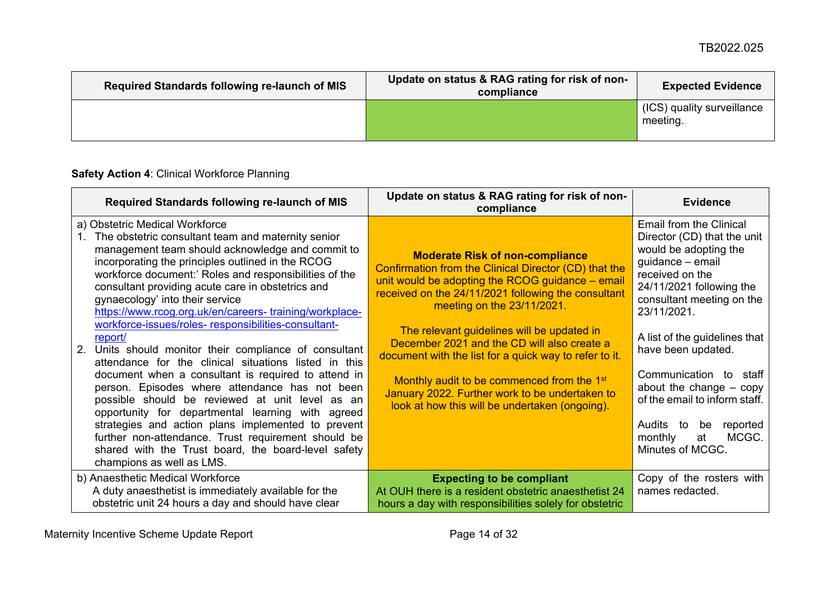| Required Standards following re-launch of MIS | Update on status & RAG rating for risk of non-<br>compliance | <b>Expected Evidence</b>               |
|-----------------------------------------------|--------------------------------------------------------------|----------------------------------------|
|                                               |                                                              | (ICS) quality surveillance<br>meeting. |

# **Safety Action 4**: Clinical Workforce Planning

<span id="page-13-0"></span>

| Required Standards following re-launch of MIS                                                                                                                                                                                                                                                                                                                                                                                                                          | Update on status & RAG rating for risk of non-<br>compliance                                                                                                                                                                             | <b>Evidence</b>                                                                                                                                                                                |
|------------------------------------------------------------------------------------------------------------------------------------------------------------------------------------------------------------------------------------------------------------------------------------------------------------------------------------------------------------------------------------------------------------------------------------------------------------------------|------------------------------------------------------------------------------------------------------------------------------------------------------------------------------------------------------------------------------------------|------------------------------------------------------------------------------------------------------------------------------------------------------------------------------------------------|
| a) Obstetric Medical Workforce<br>The obstetric consultant team and maternity senior<br>1.<br>management team should acknowledge and commit to<br>incorporating the principles outlined in the RCOG<br>workforce document:' Roles and responsibilities of the<br>consultant providing acute care in obstetrics and<br>gynaecology' into their service<br>https://www.rcog.org.uk/en/careers-training/workplace-<br>workforce-issues/roles-responsibilities-consultant- | <b>Moderate Risk of non-compliance</b><br>Confirmation from the Clinical Director (CD) that the<br>unit would be adopting the RCOG guidance – email<br>received on the 24/11/2021 following the consultant<br>meeting on the 23/11/2021. | Email from the Clinical<br>Director (CD) that the unit<br>would be adopting the<br>guidance - email<br>received on the<br>24/11/2021 following the<br>consultant meeting on the<br>23/11/2021. |
| report/<br>Units should monitor their compliance of consultant<br>2.<br>attendance for the clinical situations listed in this                                                                                                                                                                                                                                                                                                                                          | The relevant guidelines will be updated in<br>December 2021 and the CD will also create a<br>document with the list for a quick way to refer to it.                                                                                      | A list of the guidelines that<br>have been updated.                                                                                                                                            |
| document when a consultant is required to attend in<br>person. Episodes where attendance has not been<br>possible should be reviewed at unit level as an<br>opportunity for departmental learning with agreed                                                                                                                                                                                                                                                          | Monthly audit to be commenced from the 1 <sup>st</sup><br>January 2022. Further work to be undertaken to<br>look at how this will be undertaken (ongoing).                                                                               | Communication to staff<br>about the change $-$ copy<br>of the email to inform staff.                                                                                                           |
| strategies and action plans implemented to prevent<br>further non-attendance. Trust requirement should be<br>shared with the Trust board, the board-level safety<br>champions as well as LMS.                                                                                                                                                                                                                                                                          |                                                                                                                                                                                                                                          | Audits to<br>reported<br>be<br>MCGC.<br>monthly<br>at<br>Minutes of MCGC.                                                                                                                      |
| b) Anaesthetic Medical Workforce<br>A duty anaesthetist is immediately available for the<br>obstetric unit 24 hours a day and should have clear                                                                                                                                                                                                                                                                                                                        | <b>Expecting to be compliant</b><br>At OUH there is a resident obstetric anaesthetist 24<br>hours a day with responsibilities solely for obstetric                                                                                       | Copy of the rosters with<br>names redacted.                                                                                                                                                    |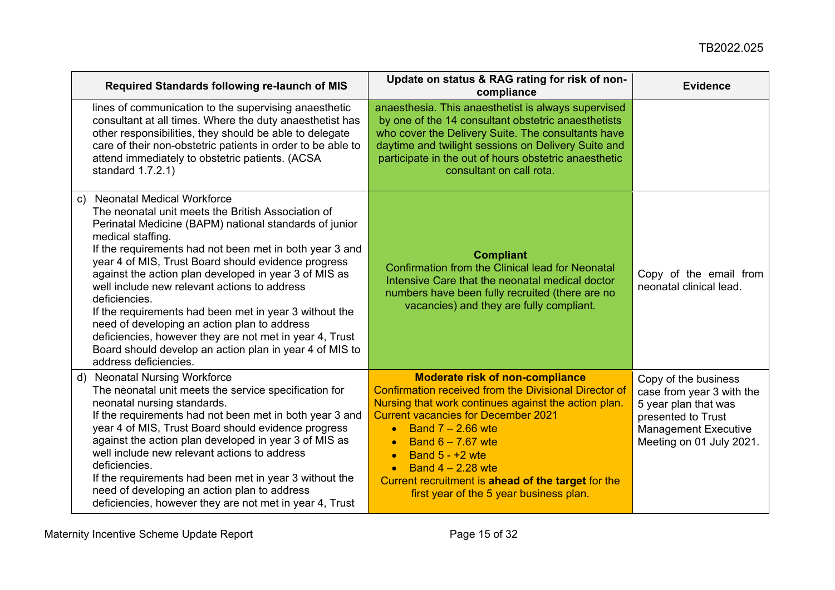| Required Standards following re-launch of MIS                                                                                                                                                                                                                                                                                                                                                                                                                                                                                                                                                                                                                                     | Update on status & RAG rating for risk of non-<br>compliance                                                                                                                                                                                                                                                                                                                                                                                   | <b>Evidence</b>                                                                                                                                            |
|-----------------------------------------------------------------------------------------------------------------------------------------------------------------------------------------------------------------------------------------------------------------------------------------------------------------------------------------------------------------------------------------------------------------------------------------------------------------------------------------------------------------------------------------------------------------------------------------------------------------------------------------------------------------------------------|------------------------------------------------------------------------------------------------------------------------------------------------------------------------------------------------------------------------------------------------------------------------------------------------------------------------------------------------------------------------------------------------------------------------------------------------|------------------------------------------------------------------------------------------------------------------------------------------------------------|
| lines of communication to the supervising anaesthetic<br>consultant at all times. Where the duty anaesthetist has<br>other responsibilities, they should be able to delegate<br>care of their non-obstetric patients in order to be able to<br>attend immediately to obstetric patients. (ACSA<br>standard 1.7.2.1)                                                                                                                                                                                                                                                                                                                                                               | anaesthesia. This anaesthetist is always supervised<br>by one of the 14 consultant obstetric anaesthetists<br>who cover the Delivery Suite. The consultants have<br>daytime and twilight sessions on Delivery Suite and<br>participate in the out of hours obstetric anaesthetic<br>consultant on call rota.                                                                                                                                   |                                                                                                                                                            |
| <b>Neonatal Medical Workforce</b><br>C)<br>The neonatal unit meets the British Association of<br>Perinatal Medicine (BAPM) national standards of junior<br>medical staffing.<br>If the requirements had not been met in both year 3 and<br>year 4 of MIS, Trust Board should evidence progress<br>against the action plan developed in year 3 of MIS as<br>well include new relevant actions to address<br>deficiencies.<br>If the requirements had been met in year 3 without the<br>need of developing an action plan to address<br>deficiencies, however they are not met in year 4, Trust<br>Board should develop an action plan in year 4 of MIS to<br>address deficiencies. | <b>Compliant</b><br>Confirmation from the Clinical lead for Neonatal<br>Intensive Care that the neonatal medical doctor<br>numbers have been fully recruited (there are no<br>vacancies) and they are fully compliant.                                                                                                                                                                                                                         | Copy of the email from<br>neonatal clinical lead.                                                                                                          |
| <b>Neonatal Nursing Workforce</b><br>d)<br>The neonatal unit meets the service specification for<br>neonatal nursing standards.<br>If the requirements had not been met in both year 3 and<br>year 4 of MIS, Trust Board should evidence progress<br>against the action plan developed in year 3 of MIS as<br>well include new relevant actions to address<br>deficiencies.<br>If the requirements had been met in year 3 without the<br>need of developing an action plan to address<br>deficiencies, however they are not met in year 4, Trust                                                                                                                                  | <b>Moderate risk of non-compliance</b><br><b>Confirmation received from the Divisional Director of</b><br>Nursing that work continues against the action plan.<br><b>Current vacancies for December 2021</b><br>Band $7 - 2.66$ wte<br>$\bullet$<br>Band $6 - 7.67$ wte<br>$\bullet$<br>Band $5 - +2$ wte<br>$\bullet$<br>Band $4 - 2.28$ wte<br>Current recruitment is ahead of the target for the<br>first year of the 5 year business plan. | Copy of the business<br>case from year 3 with the<br>5 year plan that was<br>presented to Trust<br><b>Management Executive</b><br>Meeting on 01 July 2021. |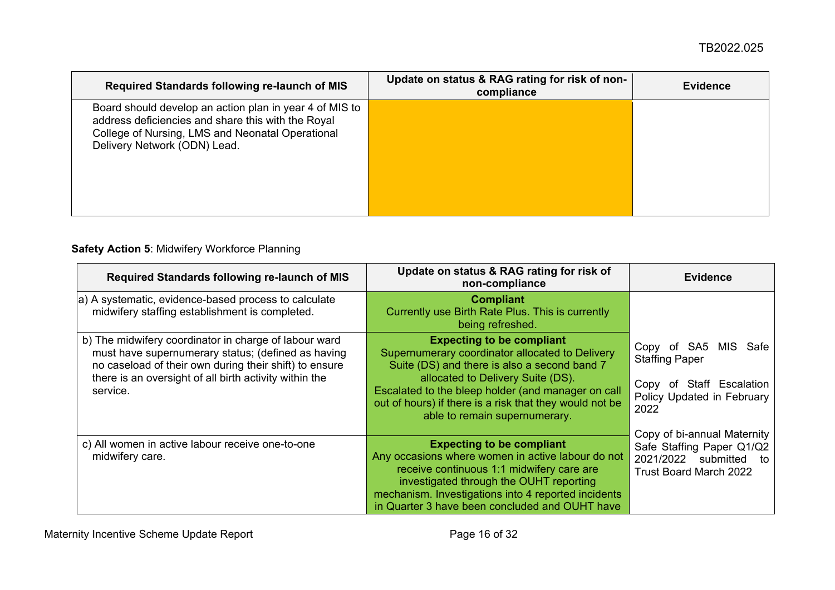| <b>Required Standards following re-launch of MIS</b>                                                                                                                                              | Update on status & RAG rating for risk of non-<br>compliance | <b>Evidence</b> |
|---------------------------------------------------------------------------------------------------------------------------------------------------------------------------------------------------|--------------------------------------------------------------|-----------------|
| Board should develop an action plan in year 4 of MIS to<br>address deficiencies and share this with the Royal<br>College of Nursing, LMS and Neonatal Operational<br>Delivery Network (ODN) Lead. |                                                              |                 |

#### **Safety Action 5**: Midwifery Workforce Planning

<span id="page-15-0"></span>

| Required Standards following re-launch of MIS                                                                                                                                                                                               | Update on status & RAG rating for risk of<br>non-compliance                                                                                                                                                                                                                                                                | <b>Evidence</b>                                                                                                          |
|---------------------------------------------------------------------------------------------------------------------------------------------------------------------------------------------------------------------------------------------|----------------------------------------------------------------------------------------------------------------------------------------------------------------------------------------------------------------------------------------------------------------------------------------------------------------------------|--------------------------------------------------------------------------------------------------------------------------|
| a) A systematic, evidence-based process to calculate<br>midwifery staffing establishment is completed.                                                                                                                                      | <b>Compliant</b><br>Currently use Birth Rate Plus. This is currently<br>being refreshed.                                                                                                                                                                                                                                   |                                                                                                                          |
| b) The midwifery coordinator in charge of labour ward<br>must have supernumerary status; (defined as having<br>no caseload of their own during their shift) to ensure<br>there is an oversight of all birth activity within the<br>service. | <b>Expecting to be compliant</b><br>Supernumerary coordinator allocated to Delivery<br>Suite (DS) and there is also a second band 7<br>allocated to Delivery Suite (DS).<br>Escalated to the bleep holder (and manager on call<br>out of hours) if there is a risk that they would not be<br>able to remain supernumerary. | MIS Safe<br>Copy of SA5<br><b>Staffing Paper</b><br>Staff Escalation<br>Copy<br>of<br>Policy Updated in February<br>2022 |
| c) All women in active labour receive one-to-one<br>midwifery care.                                                                                                                                                                         | <b>Expecting to be compliant</b><br>Any occasions where women in active labour do not<br>receive continuous 1:1 midwifery care are<br>investigated through the OUHT reporting<br>mechanism. Investigations into 4 reported incidents<br>in Quarter 3 have been concluded and OUHT have                                     | Copy of bi-annual Maternity<br>Safe Staffing Paper Q1/Q2<br>2021/2022 submitted<br>to<br><b>Trust Board March 2022</b>   |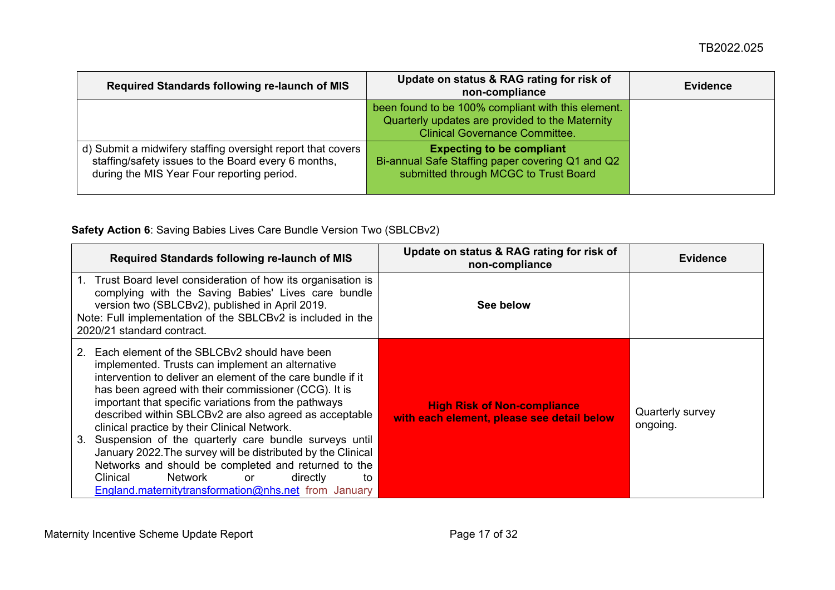| Required Standards following re-launch of MIS                                                                                                                    | Update on status & RAG rating for risk of<br>non-compliance                                                                                    | <b>Evidence</b> |
|------------------------------------------------------------------------------------------------------------------------------------------------------------------|------------------------------------------------------------------------------------------------------------------------------------------------|-----------------|
|                                                                                                                                                                  | been found to be 100% compliant with this element.<br>Quarterly updates are provided to the Maternity<br><b>Clinical Governance Committee.</b> |                 |
| d) Submit a midwifery staffing oversight report that covers<br>staffing/safety issues to the Board every 6 months,<br>during the MIS Year Four reporting period. | <b>Expecting to be compliant</b><br>Bi-annual Safe Staffing paper covering Q1 and Q2<br>submitted through MCGC to Trust Board                  |                 |

#### **Safety Action 6**: Saving Babies Lives Care Bundle Version Two (SBLCBv2)

<span id="page-16-0"></span>

| Required Standards following re-launch of MIS                                                                                                                                                                                                                                                                                                                                                                                                                                                                                                                                                                                                                                           | Update on status & RAG rating for risk of<br>non-compliance                      | <b>Evidence</b>              |
|-----------------------------------------------------------------------------------------------------------------------------------------------------------------------------------------------------------------------------------------------------------------------------------------------------------------------------------------------------------------------------------------------------------------------------------------------------------------------------------------------------------------------------------------------------------------------------------------------------------------------------------------------------------------------------------------|----------------------------------------------------------------------------------|------------------------------|
| 1. Trust Board level consideration of how its organisation is<br>complying with the Saving Babies' Lives care bundle<br>version two (SBLCBv2), published in April 2019.<br>Note: Full implementation of the SBLCBv2 is included in the<br>2020/21 standard contract.                                                                                                                                                                                                                                                                                                                                                                                                                    | See below                                                                        |                              |
| Each element of the SBLCBv2 should have been<br>implemented. Trusts can implement an alternative<br>intervention to deliver an element of the care bundle if it<br>has been agreed with their commissioner (CCG). It is<br>important that specific variations from the pathways<br>described within SBLCBv2 are also agreed as acceptable<br>clinical practice by their Clinical Network.<br>Suspension of the quarterly care bundle surveys until<br>3.<br>January 2022. The survey will be distributed by the Clinical<br>Networks and should be completed and returned to the<br>Network<br>Clinical<br>directly<br>or<br>to<br>England.maternitytransformation@nhs.net from January | <b>High Risk of Non-compliance</b><br>with each element, please see detail below | Quarterly survey<br>ongoing. |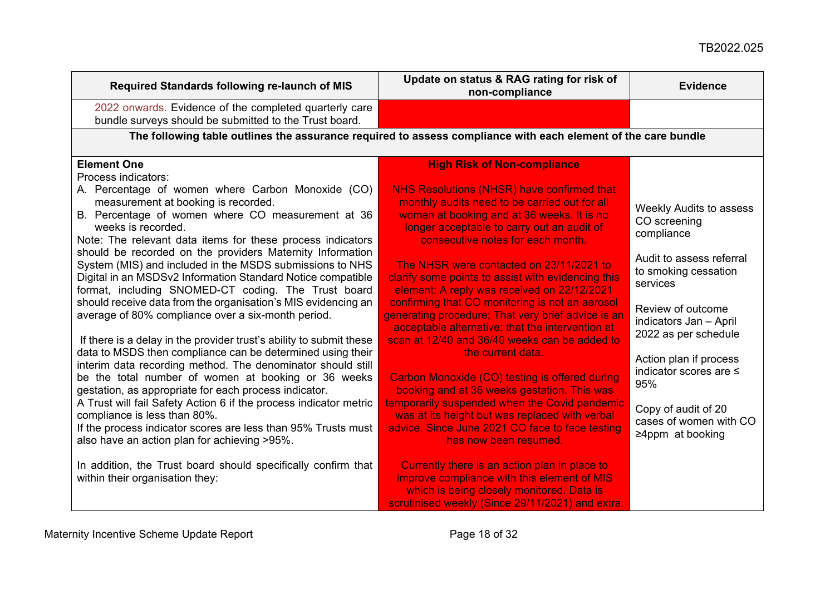### TB2022.025

| Required Standards following re-launch of MIS                                                                                                                                                                                                                                                  | Update on status & RAG rating for risk of<br>non-compliance                                                                                                                                                                  | <b>Evidence</b>                                                         |
|------------------------------------------------------------------------------------------------------------------------------------------------------------------------------------------------------------------------------------------------------------------------------------------------|------------------------------------------------------------------------------------------------------------------------------------------------------------------------------------------------------------------------------|-------------------------------------------------------------------------|
| 2022 onwards. Evidence of the completed quarterly care<br>bundle surveys should be submitted to the Trust board.                                                                                                                                                                               |                                                                                                                                                                                                                              |                                                                         |
|                                                                                                                                                                                                                                                                                                | The following table outlines the assurance required to assess compliance with each element of the care bundle                                                                                                                |                                                                         |
| <b>Element One</b>                                                                                                                                                                                                                                                                             | <b>High Risk of Non-compliance</b>                                                                                                                                                                                           |                                                                         |
| Process indicators:                                                                                                                                                                                                                                                                            |                                                                                                                                                                                                                              |                                                                         |
| A. Percentage of women where Carbon Monoxide (CO)<br>measurement at booking is recorded.<br>B. Percentage of women where CO measurement at 36<br>weeks is recorded.<br>Note: The relevant data items for these process indicators<br>should be recorded on the providers Maternity Information | NHS Resolutions (NHSR) have confirmed that<br>monthly audits need to be carried out for all<br>women at booking and at 36 weeks. It is no<br>longer acceptable to carry out an audit of<br>consecutive notes for each month. | <b>Weekly Audits to assess</b><br>CO screening<br>compliance            |
| System (MIS) and included in the MSDS submissions to NHS<br>Digital in an MSDSv2 Information Standard Notice compatible<br>format, including SNOMED-CT coding. The Trust board                                                                                                                 | The NHSR were contacted on 23/11/2021 to<br>clarify some points to assist with evidencing this<br>element: A reply was received on 22/12/2021                                                                                | Audit to assess referral<br>to smoking cessation<br>services            |
| should receive data from the organisation's MIS evidencing an<br>average of 80% compliance over a six-month period.<br>If there is a delay in the provider trust's ability to submit these                                                                                                     | confirming that CO monitoring is not an aerosol<br>generating procedure; That very brief advice is an<br>acceptable alternative; that the intervention at<br>scan at 12/40 and 36/40 weeks can be added to                   | Review of outcome<br>indicators Jan - April<br>2022 as per schedule     |
| data to MSDS then compliance can be determined using their<br>interim data recording method. The denominator should still<br>be the total number of women at booking or 36 weeks<br>gestation, as appropriate for each process indicator.                                                      | the current data.<br>Carbon Monoxide (CO) testing is offered during<br>booking and at 36 weeks gestation. This was                                                                                                           | Action plan if process<br>indicator scores are ≤<br>95%                 |
| A Trust will fail Safety Action 6 if the process indicator metric<br>compliance is less than 80%.<br>If the process indicator scores are less than 95% Trusts must<br>also have an action plan for achieving >95%.                                                                             | temporarily suspended when the Covid pandemic<br>was at its height but was replaced with verbal<br>advice. Since June 2021 CO face to face testing<br>has now been resumed.                                                  | Copy of audit of 20<br>cases of women with CO<br>$\geq$ 4ppm at booking |
| In addition, the Trust board should specifically confirm that<br>within their organisation they:                                                                                                                                                                                               | Currently there is an action plan in place to<br>improve compliance with this element of MIS<br>which is being closely monitored. Data is<br>scrutinised weekly (Since 29/11/2021) and extra                                 |                                                                         |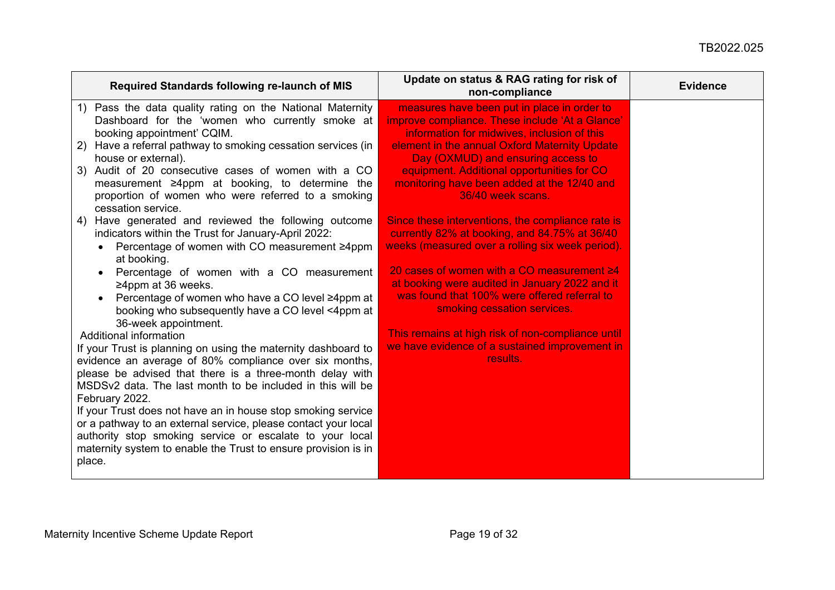| Required Standards following re-launch of MIS                   | Update on status & RAG rating for risk of<br>non-compliance | <b>Evidence</b> |
|-----------------------------------------------------------------|-------------------------------------------------------------|-----------------|
| 1) Pass the data quality rating on the National Maternity       | measures have been put in place in order to                 |                 |
| Dashboard for the 'women who currently smoke at                 | improve compliance. These include 'At a Glance'             |                 |
| booking appointment' CQIM.                                      | information for midwives, inclusion of this                 |                 |
| Have a referral pathway to smoking cessation services (in<br>2) | element in the annual Oxford Maternity Update               |                 |
| house or external).                                             | Day (OXMUD) and ensuring access to                          |                 |
| Audit of 20 consecutive cases of women with a CO<br>3)          | equipment. Additional opportunities for CO                  |                 |
| measurement ≥4ppm at booking, to determine the                  | monitoring have been added at the 12/40 and                 |                 |
| proportion of women who were referred to a smoking              | 36/40 week scans.                                           |                 |
| cessation service.                                              |                                                             |                 |
| 4) Have generated and reviewed the following outcome            | Since these interventions, the compliance rate is           |                 |
| indicators within the Trust for January-April 2022:             | currently 82% at booking, and 84.75% at 36/40               |                 |
| Percentage of women with CO measurement ≥4ppm<br>$\bullet$      | weeks (measured over a rolling six week period).            |                 |
| at booking.                                                     |                                                             |                 |
| Percentage of women with a CO measurement                       | 20 cases of women with a CO measurement ≥4                  |                 |
| $\geq$ 4ppm at 36 weeks.                                        | at booking were audited in January 2022 and it              |                 |
| Percentage of women who have a CO level ≥4ppm at                | was found that 100% were offered referral to                |                 |
| booking who subsequently have a CO level <4ppm at               | smoking cessation services.                                 |                 |
| 36-week appointment.                                            |                                                             |                 |
| <b>Additional information</b>                                   | This remains at high risk of non-compliance until           |                 |
| If your Trust is planning on using the maternity dashboard to   | we have evidence of a sustained improvement in              |                 |
| evidence an average of 80% compliance over six months,          | results.                                                    |                 |
| please be advised that there is a three-month delay with        |                                                             |                 |
| MSDSv2 data. The last month to be included in this will be      |                                                             |                 |
| February 2022.                                                  |                                                             |                 |
| If your Trust does not have an in house stop smoking service    |                                                             |                 |
| or a pathway to an external service, please contact your local  |                                                             |                 |
| authority stop smoking service or escalate to your local        |                                                             |                 |
| maternity system to enable the Trust to ensure provision is in  |                                                             |                 |
| place.                                                          |                                                             |                 |
|                                                                 |                                                             |                 |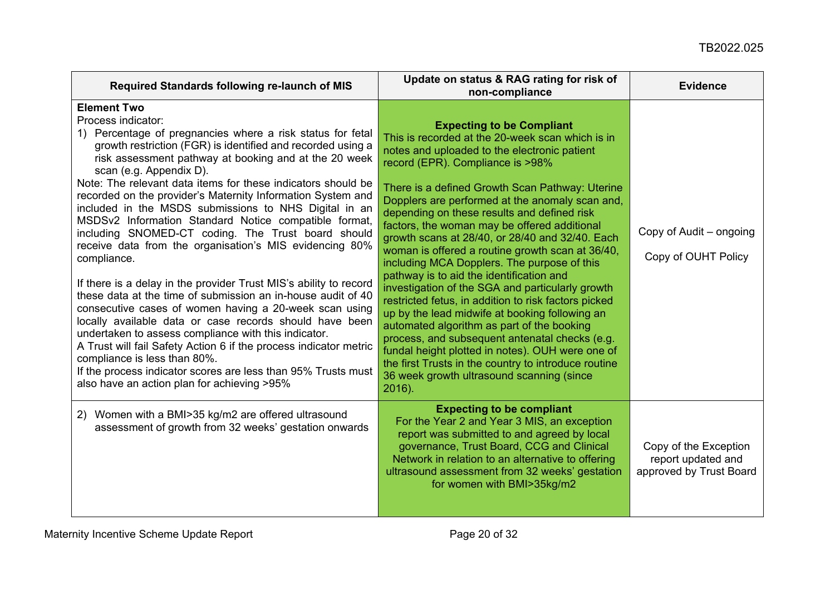| Required Standards following re-launch of MIS                                                                                                                                                                                                                                                                                                                                                                                                                                                                                                                                                                                                                                                                                                                                                                                                                                                                                                                                                                                                                                                                                                                                     | Update on status & RAG rating for risk of<br>non-compliance                                                                                                                                                                                                                                                                                                                                                                                                                                                                                                                                                                                                                                                                                                                                                                                                                                                                                                                                                         | <b>Evidence</b>                                                        |
|-----------------------------------------------------------------------------------------------------------------------------------------------------------------------------------------------------------------------------------------------------------------------------------------------------------------------------------------------------------------------------------------------------------------------------------------------------------------------------------------------------------------------------------------------------------------------------------------------------------------------------------------------------------------------------------------------------------------------------------------------------------------------------------------------------------------------------------------------------------------------------------------------------------------------------------------------------------------------------------------------------------------------------------------------------------------------------------------------------------------------------------------------------------------------------------|---------------------------------------------------------------------------------------------------------------------------------------------------------------------------------------------------------------------------------------------------------------------------------------------------------------------------------------------------------------------------------------------------------------------------------------------------------------------------------------------------------------------------------------------------------------------------------------------------------------------------------------------------------------------------------------------------------------------------------------------------------------------------------------------------------------------------------------------------------------------------------------------------------------------------------------------------------------------------------------------------------------------|------------------------------------------------------------------------|
| <b>Element Two</b><br>Process indicator:<br>1) Percentage of pregnancies where a risk status for fetal<br>growth restriction (FGR) is identified and recorded using a<br>risk assessment pathway at booking and at the 20 week<br>scan (e.g. Appendix D).<br>Note: The relevant data items for these indicators should be<br>recorded on the provider's Maternity Information System and<br>included in the MSDS submissions to NHS Digital in an<br>MSDSv2 Information Standard Notice compatible format,<br>including SNOMED-CT coding. The Trust board should<br>receive data from the organisation's MIS evidencing 80%<br>compliance.<br>If there is a delay in the provider Trust MIS's ability to record<br>these data at the time of submission an in-house audit of 40<br>consecutive cases of women having a 20-week scan using<br>locally available data or case records should have been<br>undertaken to assess compliance with this indicator.<br>A Trust will fail Safety Action 6 if the process indicator metric<br>compliance is less than 80%.<br>If the process indicator scores are less than 95% Trusts must<br>also have an action plan for achieving >95% | <b>Expecting to be Compliant</b><br>This is recorded at the 20-week scan which is in<br>notes and uploaded to the electronic patient<br>record (EPR). Compliance is >98%<br>There is a defined Growth Scan Pathway: Uterine<br>Dopplers are performed at the anomaly scan and,<br>depending on these results and defined risk<br>factors, the woman may be offered additional<br>growth scans at 28/40, or 28/40 and 32/40. Each<br>woman is offered a routine growth scan at 36/40,<br>including MCA Dopplers. The purpose of this<br>pathway is to aid the identification and<br>investigation of the SGA and particularly growth<br>restricted fetus, in addition to risk factors picked<br>up by the lead midwife at booking following an<br>automated algorithm as part of the booking<br>process, and subsequent antenatal checks (e.g.<br>fundal height plotted in notes). OUH were one of<br>the first Trusts in the country to introduce routine<br>36 week growth ultrasound scanning (since<br>$2016$ ). | Copy of Audit – ongoing<br>Copy of OUHT Policy                         |
| 2) Women with a BMI>35 kg/m2 are offered ultrasound<br>assessment of growth from 32 weeks' gestation onwards                                                                                                                                                                                                                                                                                                                                                                                                                                                                                                                                                                                                                                                                                                                                                                                                                                                                                                                                                                                                                                                                      | <b>Expecting to be compliant</b><br>For the Year 2 and Year 3 MIS, an exception<br>report was submitted to and agreed by local<br>governance, Trust Board, CCG and Clinical<br>Network in relation to an alternative to offering<br>ultrasound assessment from 32 weeks' gestation<br>for women with BMI>35kg/m2                                                                                                                                                                                                                                                                                                                                                                                                                                                                                                                                                                                                                                                                                                    | Copy of the Exception<br>report updated and<br>approved by Trust Board |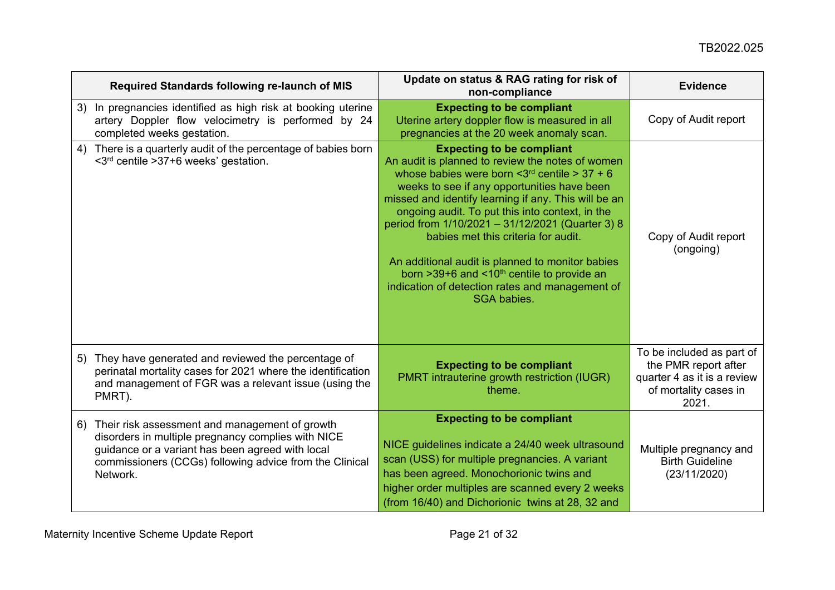| Required Standards following re-launch of MIS                                                                                                                                                                                         | Update on status & RAG rating for risk of<br>non-compliance                                                                                                                                                                                                                                                                                                                                                                                                                                                                                                                          | <b>Evidence</b>                                                                                                    |
|---------------------------------------------------------------------------------------------------------------------------------------------------------------------------------------------------------------------------------------|--------------------------------------------------------------------------------------------------------------------------------------------------------------------------------------------------------------------------------------------------------------------------------------------------------------------------------------------------------------------------------------------------------------------------------------------------------------------------------------------------------------------------------------------------------------------------------------|--------------------------------------------------------------------------------------------------------------------|
| In pregnancies identified as high risk at booking uterine<br>3)<br>artery Doppler flow velocimetry is performed by 24<br>completed weeks gestation.                                                                                   | <b>Expecting to be compliant</b><br>Uterine artery doppler flow is measured in all<br>pregnancies at the 20 week anomaly scan.                                                                                                                                                                                                                                                                                                                                                                                                                                                       | Copy of Audit report                                                                                               |
| There is a quarterly audit of the percentage of babies born<br>4)<br>$\leq 3^{rd}$ centile $>37+6$ weeks' gestation.                                                                                                                  | <b>Expecting to be compliant</b><br>An audit is planned to review the notes of women<br>whose babies were born $\leq 3^{rd}$ centile > 37 + 6<br>weeks to see if any opportunities have been<br>missed and identify learning if any. This will be an<br>ongoing audit. To put this into context, in the<br>period from 1/10/2021 - 31/12/2021 (Quarter 3) 8<br>babies met this criteria for audit.<br>An additional audit is planned to monitor babies<br>born $>39+6$ and <10 <sup>th</sup> centile to provide an<br>indication of detection rates and management of<br>SGA babies. | Copy of Audit report<br>(ongoing)                                                                                  |
| 5) They have generated and reviewed the percentage of<br>perinatal mortality cases for 2021 where the identification<br>and management of FGR was a relevant issue (using the<br>PMRT).                                               | <b>Expecting to be compliant</b><br>PMRT intrauterine growth restriction (IUGR)<br>theme.                                                                                                                                                                                                                                                                                                                                                                                                                                                                                            | To be included as part of<br>the PMR report after<br>quarter 4 as it is a review<br>of mortality cases in<br>2021. |
| Their risk assessment and management of growth<br>6)<br>disorders in multiple pregnancy complies with NICE<br>guidance or a variant has been agreed with local<br>commissioners (CCGs) following advice from the Clinical<br>Network. | <b>Expecting to be compliant</b><br>NICE guidelines indicate a 24/40 week ultrasound<br>scan (USS) for multiple pregnancies. A variant<br>has been agreed. Monochorionic twins and<br>higher order multiples are scanned every 2 weeks<br>(from 16/40) and Dichorionic twins at 28, 32 and                                                                                                                                                                                                                                                                                           | Multiple pregnancy and<br><b>Birth Guideline</b><br>(23/11/2020)                                                   |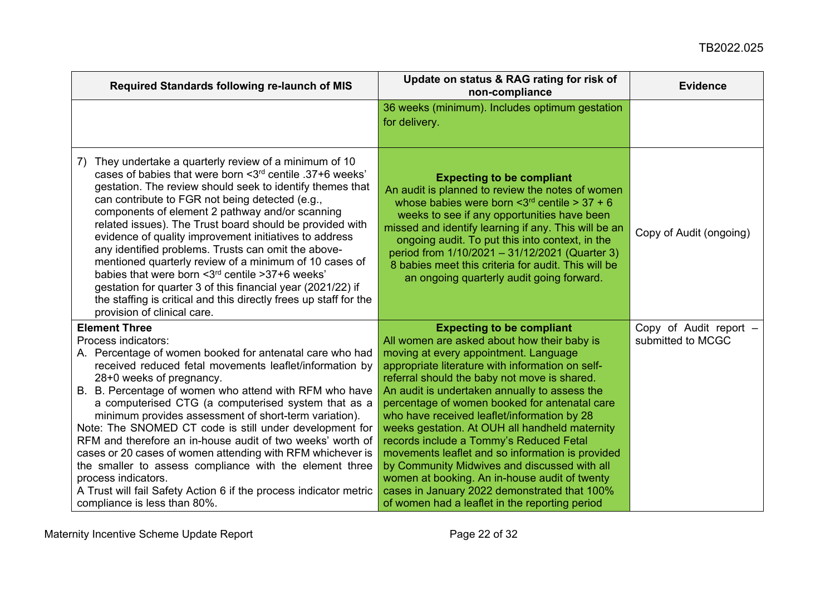| Required Standards following re-launch of MIS                                                                                                                                                                                                                                                                                                                                                                                                                                                                                                                                                                                                                                                                                                            | Update on status & RAG rating for risk of<br>non-compliance                                                                                                                                                                                                                                                                                                                                                                                                                                                                                                                                                                                                                                                                       | <b>Evidence</b>                             |
|----------------------------------------------------------------------------------------------------------------------------------------------------------------------------------------------------------------------------------------------------------------------------------------------------------------------------------------------------------------------------------------------------------------------------------------------------------------------------------------------------------------------------------------------------------------------------------------------------------------------------------------------------------------------------------------------------------------------------------------------------------|-----------------------------------------------------------------------------------------------------------------------------------------------------------------------------------------------------------------------------------------------------------------------------------------------------------------------------------------------------------------------------------------------------------------------------------------------------------------------------------------------------------------------------------------------------------------------------------------------------------------------------------------------------------------------------------------------------------------------------------|---------------------------------------------|
|                                                                                                                                                                                                                                                                                                                                                                                                                                                                                                                                                                                                                                                                                                                                                          | 36 weeks (minimum). Includes optimum gestation<br>for delivery.                                                                                                                                                                                                                                                                                                                                                                                                                                                                                                                                                                                                                                                                   |                                             |
| They undertake a quarterly review of a minimum of 10<br>7)<br>cases of babies that were born <3rd centile .37+6 weeks'<br>gestation. The review should seek to identify themes that<br>can contribute to FGR not being detected (e.g.,<br>components of element 2 pathway and/or scanning<br>related issues). The Trust board should be provided with<br>evidence of quality improvement initiatives to address<br>any identified problems. Trusts can omit the above-<br>mentioned quarterly review of a minimum of 10 cases of<br>babies that were born < 3rd centile > 37+6 weeks'<br>gestation for quarter 3 of this financial year (2021/22) if<br>the staffing is critical and this directly frees up staff for the<br>provision of clinical care. | <b>Expecting to be compliant</b><br>An audit is planned to review the notes of women<br>whose babies were born $\leq 3^{rd}$ centile > 37 + 6<br>weeks to see if any opportunities have been<br>missed and identify learning if any. This will be an<br>ongoing audit. To put this into context, in the<br>period from 1/10/2021 - 31/12/2021 (Quarter 3)<br>8 babies meet this criteria for audit. This will be<br>an ongoing quarterly audit going forward.                                                                                                                                                                                                                                                                     | Copy of Audit (ongoing)                     |
| <b>Element Three</b><br>Process indicators:<br>A. Percentage of women booked for antenatal care who had<br>received reduced fetal movements leaflet/information by<br>28+0 weeks of pregnancy.<br>B. B. Percentage of women who attend with RFM who have<br>a computerised CTG (a computerised system that as a<br>minimum provides assessment of short-term variation).<br>Note: The SNOMED CT code is still under development for<br>RFM and therefore an in-house audit of two weeks' worth of<br>cases or 20 cases of women attending with RFM whichever is<br>the smaller to assess compliance with the element three<br>process indicators.<br>A Trust will fail Safety Action 6 if the process indicator metric<br>compliance is less than 80%.   | <b>Expecting to be compliant</b><br>All women are asked about how their baby is<br>moving at every appointment. Language<br>appropriate literature with information on self-<br>referral should the baby not move is shared.<br>An audit is undertaken annually to assess the<br>percentage of women booked for antenatal care<br>who have received leaflet/information by 28<br>weeks gestation. At OUH all handheld maternity<br>records include a Tommy's Reduced Fetal<br>movements leaflet and so information is provided<br>by Community Midwives and discussed with all<br>women at booking. An in-house audit of twenty<br>cases in January 2022 demonstrated that 100%<br>of women had a leaflet in the reporting period | Copy of Audit report -<br>submitted to MCGC |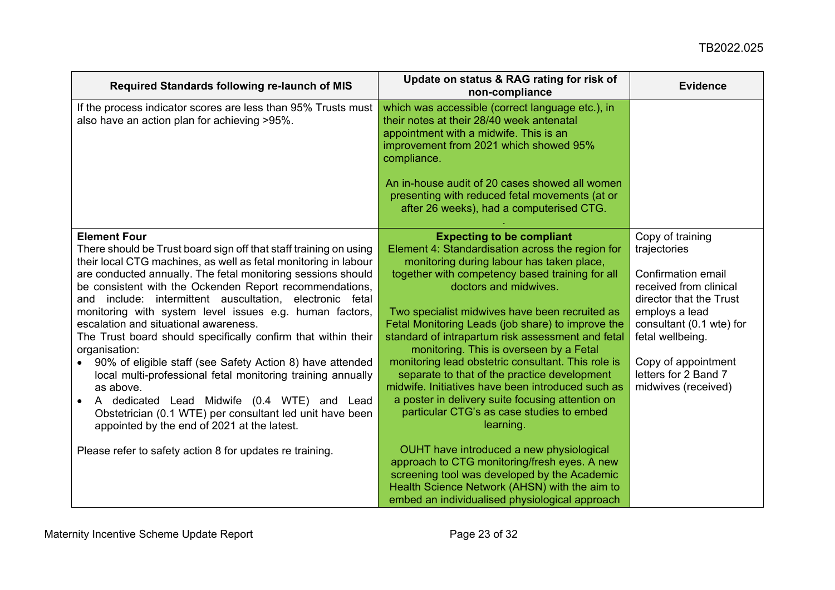| Required Standards following re-launch of MIS                                                                                                                                                                                                                                                                                                                                                                                                                                                                                                                                                                                                                                                                                                                                                                                               | Update on status & RAG rating for risk of<br>non-compliance                                                                                                                                                                                                                                                                                                                                                                                                                                                                                                                                                                                                                                   | <b>Evidence</b>                                                                                                                                                                                                                                     |
|---------------------------------------------------------------------------------------------------------------------------------------------------------------------------------------------------------------------------------------------------------------------------------------------------------------------------------------------------------------------------------------------------------------------------------------------------------------------------------------------------------------------------------------------------------------------------------------------------------------------------------------------------------------------------------------------------------------------------------------------------------------------------------------------------------------------------------------------|-----------------------------------------------------------------------------------------------------------------------------------------------------------------------------------------------------------------------------------------------------------------------------------------------------------------------------------------------------------------------------------------------------------------------------------------------------------------------------------------------------------------------------------------------------------------------------------------------------------------------------------------------------------------------------------------------|-----------------------------------------------------------------------------------------------------------------------------------------------------------------------------------------------------------------------------------------------------|
| If the process indicator scores are less than 95% Trusts must<br>also have an action plan for achieving >95%.                                                                                                                                                                                                                                                                                                                                                                                                                                                                                                                                                                                                                                                                                                                               | which was accessible (correct language etc.), in<br>their notes at their 28/40 week antenatal<br>appointment with a midwife. This is an<br>improvement from 2021 which showed 95%<br>compliance.<br>An in-house audit of 20 cases showed all women<br>presenting with reduced fetal movements (at or<br>after 26 weeks), had a computerised CTG.                                                                                                                                                                                                                                                                                                                                              |                                                                                                                                                                                                                                                     |
| <b>Element Four</b><br>There should be Trust board sign off that staff training on using<br>their local CTG machines, as well as fetal monitoring in labour<br>are conducted annually. The fetal monitoring sessions should<br>be consistent with the Ockenden Report recommendations,<br>and include: intermittent auscultation, electronic fetal<br>monitoring with system level issues e.g. human factors,<br>escalation and situational awareness.<br>The Trust board should specifically confirm that within their<br>organisation:<br>90% of eligible staff (see Safety Action 8) have attended<br>local multi-professional fetal monitoring training annually<br>as above.<br>A dedicated Lead Midwife (0.4 WTE) and Lead<br>Obstetrician (0.1 WTE) per consultant led unit have been<br>appointed by the end of 2021 at the latest. | <b>Expecting to be compliant</b><br>Element 4: Standardisation across the region for<br>monitoring during labour has taken place,<br>together with competency based training for all<br>doctors and midwives.<br>Two specialist midwives have been recruited as<br>Fetal Monitoring Leads (job share) to improve the<br>standard of intrapartum risk assessment and fetal<br>monitoring. This is overseen by a Fetal<br>monitoring lead obstetric consultant. This role is<br>separate to that of the practice development<br>midwife. Initiatives have been introduced such as<br>a poster in delivery suite focusing attention on<br>particular CTG's as case studies to embed<br>learning. | Copy of training<br>trajectories<br>Confirmation email<br>received from clinical<br>director that the Trust<br>employs a lead<br>consultant (0.1 wte) for<br>fetal wellbeing.<br>Copy of appointment<br>letters for 2 Band 7<br>midwives (received) |
| Please refer to safety action 8 for updates re training.                                                                                                                                                                                                                                                                                                                                                                                                                                                                                                                                                                                                                                                                                                                                                                                    | OUHT have introduced a new physiological<br>approach to CTG monitoring/fresh eyes. A new<br>screening tool was developed by the Academic<br>Health Science Network (AHSN) with the aim to<br>embed an individualised physiological approach                                                                                                                                                                                                                                                                                                                                                                                                                                                   |                                                                                                                                                                                                                                                     |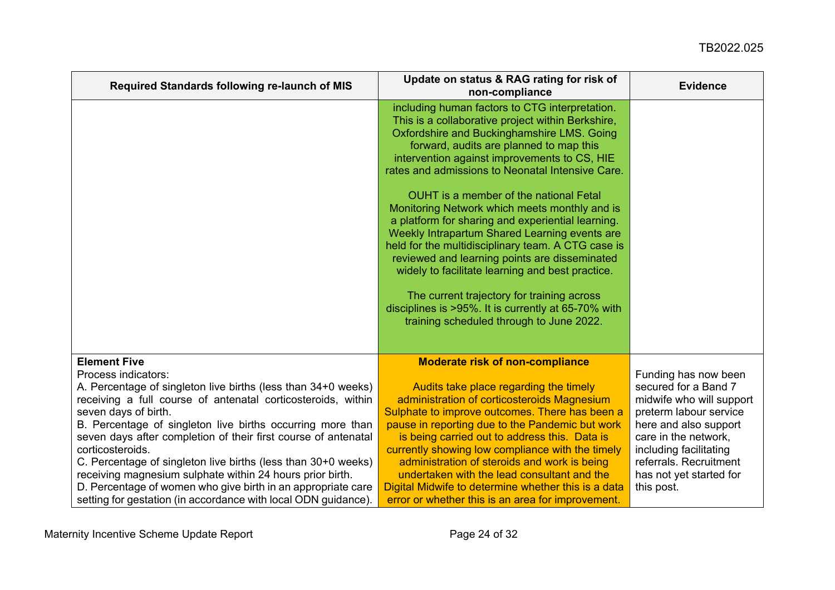| Required Standards following re-launch of MIS                                                                                                                                                                                                                                                                                                                                                                                                                                                                                                                                                                           | Update on status & RAG rating for risk of<br>non-compliance                                                                                                                                                                                                                                                                                                                                                                                                                                                                                                                                                                                                                                                                                                                                                   | <b>Evidence</b>                                                                                                                                                                                                                                  |
|-------------------------------------------------------------------------------------------------------------------------------------------------------------------------------------------------------------------------------------------------------------------------------------------------------------------------------------------------------------------------------------------------------------------------------------------------------------------------------------------------------------------------------------------------------------------------------------------------------------------------|---------------------------------------------------------------------------------------------------------------------------------------------------------------------------------------------------------------------------------------------------------------------------------------------------------------------------------------------------------------------------------------------------------------------------------------------------------------------------------------------------------------------------------------------------------------------------------------------------------------------------------------------------------------------------------------------------------------------------------------------------------------------------------------------------------------|--------------------------------------------------------------------------------------------------------------------------------------------------------------------------------------------------------------------------------------------------|
|                                                                                                                                                                                                                                                                                                                                                                                                                                                                                                                                                                                                                         | including human factors to CTG interpretation.<br>This is a collaborative project within Berkshire,<br>Oxfordshire and Buckinghamshire LMS. Going<br>forward, audits are planned to map this<br>intervention against improvements to CS, HIE<br>rates and admissions to Neonatal Intensive Care.<br>OUHT is a member of the national Fetal<br>Monitoring Network which meets monthly and is<br>a platform for sharing and experiential learning.<br>Weekly Intrapartum Shared Learning events are<br>held for the multidisciplinary team. A CTG case is<br>reviewed and learning points are disseminated<br>widely to facilitate learning and best practice.<br>The current trajectory for training across<br>disciplines is >95%. It is currently at 65-70% with<br>training scheduled through to June 2022. |                                                                                                                                                                                                                                                  |
|                                                                                                                                                                                                                                                                                                                                                                                                                                                                                                                                                                                                                         |                                                                                                                                                                                                                                                                                                                                                                                                                                                                                                                                                                                                                                                                                                                                                                                                               |                                                                                                                                                                                                                                                  |
| <b>Element Five</b><br>Process indicators:<br>A. Percentage of singleton live births (less than 34+0 weeks)<br>receiving a full course of antenatal corticosteroids, within<br>seven days of birth.<br>B. Percentage of singleton live births occurring more than<br>seven days after completion of their first course of antenatal<br>corticosteroids.<br>C. Percentage of singleton live births (less than 30+0 weeks)<br>receiving magnesium sulphate within 24 hours prior birth.<br>D. Percentage of women who give birth in an appropriate care<br>setting for gestation (in accordance with local ODN guidance). | <b>Moderate risk of non-compliance</b><br>Audits take place regarding the timely<br>administration of corticosteroids Magnesium<br>Sulphate to improve outcomes. There has been a<br>pause in reporting due to the Pandemic but work<br>is being carried out to address this. Data is<br>currently showing low compliance with the timely<br>administration of steroids and work is being<br>undertaken with the lead consultant and the<br>Digital Midwife to determine whether this is a data<br>error or whether this is an area for improvement.                                                                                                                                                                                                                                                          | Funding has now been<br>secured for a Band 7<br>midwife who will support<br>preterm labour service<br>here and also support<br>care in the network,<br>including facilitating<br>referrals. Recruitment<br>has not yet started for<br>this post. |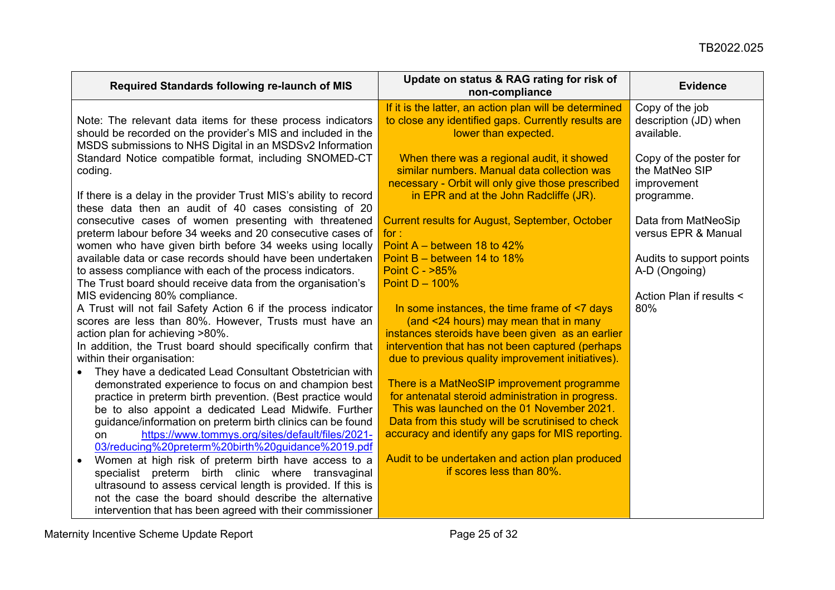| Required Standards following re-launch of MIS                                                                    | Update on status & RAG rating for risk of<br>non-compliance                                 | <b>Evidence</b>           |
|------------------------------------------------------------------------------------------------------------------|---------------------------------------------------------------------------------------------|---------------------------|
|                                                                                                                  | If it is the latter, an action plan will be determined                                      | Copy of the job           |
| Note: The relevant data items for these process indicators                                                       | to close any identified gaps. Currently results are                                         | description (JD) when     |
| should be recorded on the provider's MIS and included in the                                                     | lower than expected.                                                                        | available.                |
| MSDS submissions to NHS Digital in an MSDSv2 Information                                                         |                                                                                             |                           |
| Standard Notice compatible format, including SNOMED-CT                                                           | When there was a regional audit, it showed                                                  | Copy of the poster for    |
| coding.                                                                                                          | similar numbers. Manual data collection was                                                 | the MatNeo SIP            |
| If there is a delay in the provider Trust MIS's ability to record                                                | necessary - Orbit will only give those prescribed<br>in EPR and at the John Radcliffe (JR). | improvement<br>programme. |
| these data then an audit of 40 cases consisting of 20                                                            |                                                                                             |                           |
| consecutive cases of women presenting with threatened                                                            | <b>Current results for August, September, October</b>                                       | Data from MatNeoSip       |
| preterm labour before 34 weeks and 20 consecutive cases of                                                       | for :                                                                                       | versus EPR & Manual       |
| women who have given birth before 34 weeks using locally                                                         | Point $A -$ between 18 to 42%                                                               |                           |
| available data or case records should have been undertaken                                                       | Point $B -$ between 14 to 18%                                                               | Audits to support points  |
| to assess compliance with each of the process indicators.                                                        | Point C - >85%                                                                              | A-D (Ongoing)             |
| The Trust board should receive data from the organisation's                                                      | Point $D - 100\%$                                                                           |                           |
| MIS evidencing 80% compliance.                                                                                   |                                                                                             | Action Plan if results <  |
| A Trust will not fail Safety Action 6 if the process indicator                                                   | In some instances, the time frame of <7 days                                                | 80%                       |
| scores are less than 80%. However, Trusts must have an                                                           | (and <24 hours) may mean that in many                                                       |                           |
| action plan for achieving >80%.                                                                                  | instances steroids have been given as an earlier                                            |                           |
| In addition, the Trust board should specifically confirm that                                                    | intervention that has not been captured (perhaps)                                           |                           |
| within their organisation:                                                                                       | due to previous quality improvement initiatives).                                           |                           |
| They have a dedicated Lead Consultant Obstetrician with<br>demonstrated experience to focus on and champion best | There is a MatNeoSIP improvement programme                                                  |                           |
| practice in preterm birth prevention. (Best practice would                                                       | for antenatal steroid administration in progress.                                           |                           |
| be to also appoint a dedicated Lead Midwife. Further                                                             | This was launched on the 01 November 2021.                                                  |                           |
| guidance/information on preterm birth clinics can be found                                                       | Data from this study will be scrutinised to check                                           |                           |
| https://www.tommys.org/sites/default/files/2021-<br>on                                                           | accuracy and identify any gaps for MIS reporting.                                           |                           |
| 03/reducing%20preterm%20birth%20guidance%2019.pdf                                                                |                                                                                             |                           |
| Women at high risk of preterm birth have access to a<br>$\bullet$                                                | Audit to be undertaken and action plan produced                                             |                           |
| specialist preterm birth clinic where transvaginal                                                               | if scores less than 80%.                                                                    |                           |
| ultrasound to assess cervical length is provided. If this is                                                     |                                                                                             |                           |
| not the case the board should describe the alternative                                                           |                                                                                             |                           |
| intervention that has been agreed with their commissioner                                                        |                                                                                             |                           |

Maternity Incentive Scheme Update Report **Page 25 of 32** All and 25 of 32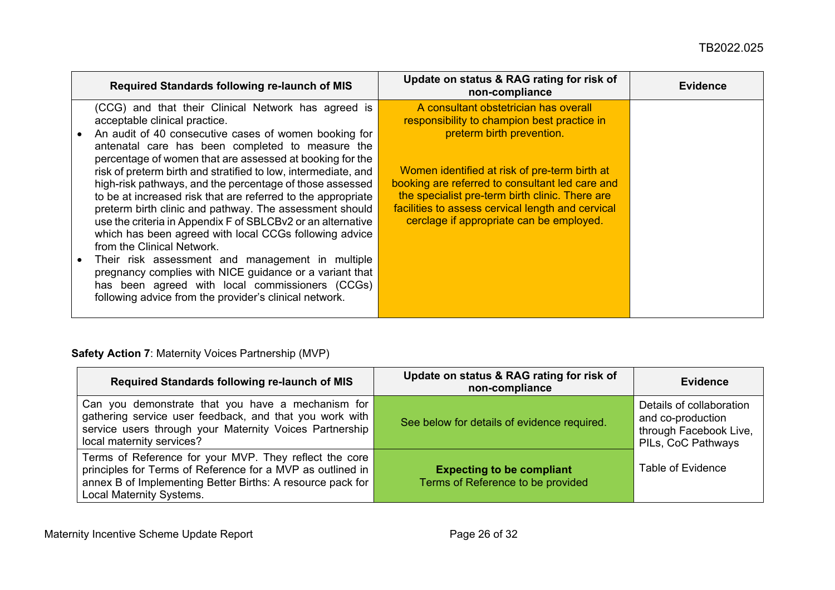| Required Standards following re-launch of MIS                                                                                                                                                                                                                                                                                                                                                                                                                                                                                                                                                                                                                                                                                                                                                                                                                                                             | Update on status & RAG rating for risk of<br>non-compliance                                                                                                                                                                                                                                                                                                               | <b>Evidence</b> |
|-----------------------------------------------------------------------------------------------------------------------------------------------------------------------------------------------------------------------------------------------------------------------------------------------------------------------------------------------------------------------------------------------------------------------------------------------------------------------------------------------------------------------------------------------------------------------------------------------------------------------------------------------------------------------------------------------------------------------------------------------------------------------------------------------------------------------------------------------------------------------------------------------------------|---------------------------------------------------------------------------------------------------------------------------------------------------------------------------------------------------------------------------------------------------------------------------------------------------------------------------------------------------------------------------|-----------------|
| (CCG) and that their Clinical Network has agreed is<br>acceptable clinical practice.<br>An audit of 40 consecutive cases of women booking for<br>antenatal care has been completed to measure the<br>percentage of women that are assessed at booking for the<br>risk of preterm birth and stratified to low, intermediate, and<br>high-risk pathways, and the percentage of those assessed<br>to be at increased risk that are referred to the appropriate<br>preterm birth clinic and pathway. The assessment should<br>use the criteria in Appendix F of SBLCBv2 or an alternative<br>which has been agreed with local CCGs following advice<br>from the Clinical Network.<br>Their risk assessment and management in multiple<br>pregnancy complies with NICE guidance or a variant that<br>has been agreed with local commissioners (CCGs)<br>following advice from the provider's clinical network. | A consultant obstetrician has overall<br>responsibility to champion best practice in<br>preterm birth prevention.<br>Women identified at risk of pre-term birth at<br>booking are referred to consultant led care and<br>the specialist pre-term birth clinic. There are<br>facilities to assess cervical length and cervical<br>cerclage if appropriate can be employed. |                 |

# **Safety Action 7**: Maternity Voices Partnership (MVP)

<span id="page-25-0"></span>

| Required Standards following re-launch of MIS                                                                                                                                                                         | Update on status & RAG rating for risk of<br>non-compliance           | <b>Evidence</b>                                                                               |
|-----------------------------------------------------------------------------------------------------------------------------------------------------------------------------------------------------------------------|-----------------------------------------------------------------------|-----------------------------------------------------------------------------------------------|
| Can you demonstrate that you have a mechanism for<br>gathering service user feedback, and that you work with<br>service users through your Maternity Voices Partnership<br>local maternity services?                  | See below for details of evidence required.                           | Details of collaboration<br>and co-production<br>through Facebook Live,<br>PILs, CoC Pathways |
| Terms of Reference for your MVP. They reflect the core<br>principles for Terms of Reference for a MVP as outlined in<br>annex B of Implementing Better Births: A resource pack for<br><b>Local Maternity Systems.</b> | <b>Expecting to be compliant</b><br>Terms of Reference to be provided | <b>Table of Evidence</b>                                                                      |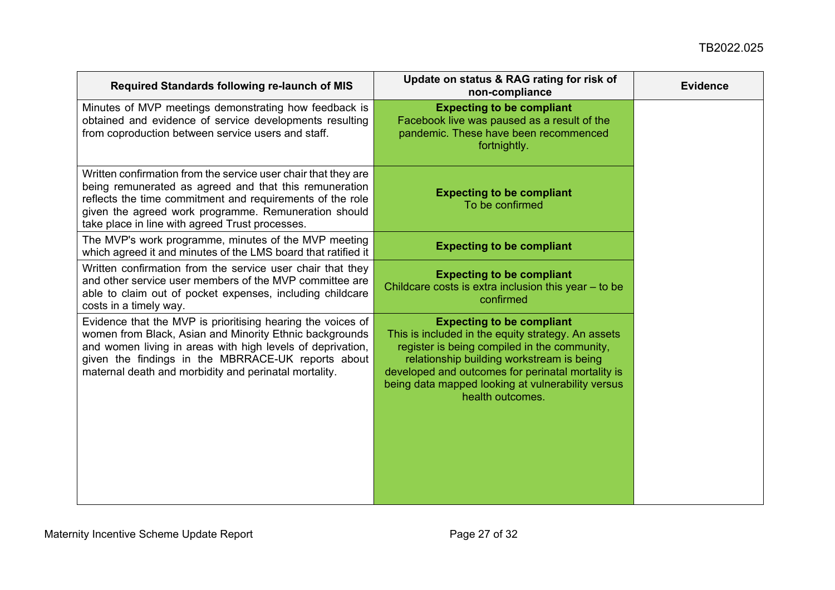| Required Standards following re-launch of MIS                                                                                                                                                                                                                                                       | Update on status & RAG rating for risk of<br>non-compliance                                                                                                                                                                                                                                                       | <b>Evidence</b> |
|-----------------------------------------------------------------------------------------------------------------------------------------------------------------------------------------------------------------------------------------------------------------------------------------------------|-------------------------------------------------------------------------------------------------------------------------------------------------------------------------------------------------------------------------------------------------------------------------------------------------------------------|-----------------|
| Minutes of MVP meetings demonstrating how feedback is<br>obtained and evidence of service developments resulting<br>from coproduction between service users and staff.                                                                                                                              | <b>Expecting to be compliant</b><br>Facebook live was paused as a result of the<br>pandemic. These have been recommenced<br>fortnightly.                                                                                                                                                                          |                 |
| Written confirmation from the service user chair that they are<br>being remunerated as agreed and that this remuneration<br>reflects the time commitment and requirements of the role<br>given the agreed work programme. Remuneration should<br>take place in line with agreed Trust processes.    | <b>Expecting to be compliant</b><br>To be confirmed                                                                                                                                                                                                                                                               |                 |
| The MVP's work programme, minutes of the MVP meeting<br>which agreed it and minutes of the LMS board that ratified it                                                                                                                                                                               | <b>Expecting to be compliant</b>                                                                                                                                                                                                                                                                                  |                 |
| Written confirmation from the service user chair that they<br>and other service user members of the MVP committee are<br>able to claim out of pocket expenses, including childcare<br>costs in a timely way.                                                                                        | <b>Expecting to be compliant</b><br>Childcare costs is extra inclusion this year - to be<br>confirmed                                                                                                                                                                                                             |                 |
| Evidence that the MVP is prioritising hearing the voices of<br>women from Black, Asian and Minority Ethnic backgrounds<br>and women living in areas with high levels of deprivation,<br>given the findings in the MBRRACE-UK reports about<br>maternal death and morbidity and perinatal mortality. | <b>Expecting to be compliant</b><br>This is included in the equity strategy. An assets<br>register is being compiled in the community,<br>relationship building workstream is being<br>developed and outcomes for perinatal mortality is<br>being data mapped looking at vulnerability versus<br>health outcomes. |                 |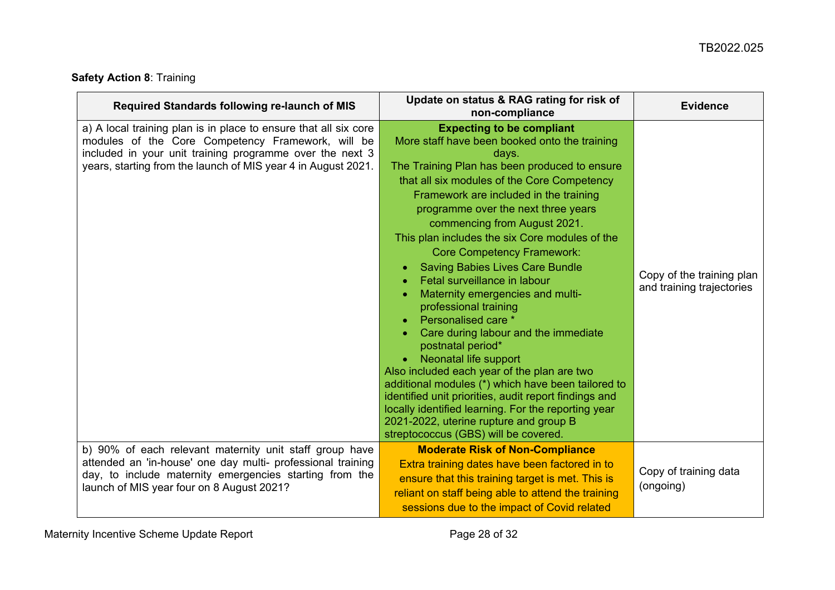# **Safety Action 8**: Training

<span id="page-27-0"></span>

| Required Standards following re-launch of MIS                                                                                                                                                                                                      | Update on status & RAG rating for risk of<br>non-compliance                                                                                                                                                                                                                                                                                                                                                                                                                                                                                                                                                                                                                                                                                                                                                                                                                                                                                                          | <b>Evidence</b>                                        |
|----------------------------------------------------------------------------------------------------------------------------------------------------------------------------------------------------------------------------------------------------|----------------------------------------------------------------------------------------------------------------------------------------------------------------------------------------------------------------------------------------------------------------------------------------------------------------------------------------------------------------------------------------------------------------------------------------------------------------------------------------------------------------------------------------------------------------------------------------------------------------------------------------------------------------------------------------------------------------------------------------------------------------------------------------------------------------------------------------------------------------------------------------------------------------------------------------------------------------------|--------------------------------------------------------|
| a) A local training plan is in place to ensure that all six core<br>modules of the Core Competency Framework, will be<br>included in your unit training programme over the next 3<br>years, starting from the launch of MIS year 4 in August 2021. | <b>Expecting to be compliant</b><br>More staff have been booked onto the training<br>days.<br>The Training Plan has been produced to ensure<br>that all six modules of the Core Competency<br>Framework are included in the training<br>programme over the next three years<br>commencing from August 2021.<br>This plan includes the six Core modules of the<br><b>Core Competency Framework:</b><br><b>Saving Babies Lives Care Bundle</b><br>Fetal surveillance in labour<br>Maternity emergencies and multi-<br>professional training<br>Personalised care *<br>Care during labour and the immediate<br>postnatal period*<br><b>Neonatal life support</b><br>Also included each year of the plan are two<br>additional modules (*) which have been tailored to<br>identified unit priorities, audit report findings and<br>locally identified learning. For the reporting year<br>2021-2022, uterine rupture and group B<br>streptococcus (GBS) will be covered. | Copy of the training plan<br>and training trajectories |
| b) 90% of each relevant maternity unit staff group have<br>attended an 'in-house' one day multi- professional training<br>day, to include maternity emergencies starting from the<br>launch of MIS year four on 8 August 2021?                     | <b>Moderate Risk of Non-Compliance</b><br>Extra training dates have been factored in to<br>ensure that this training target is met. This is<br>reliant on staff being able to attend the training<br>sessions due to the impact of Covid related                                                                                                                                                                                                                                                                                                                                                                                                                                                                                                                                                                                                                                                                                                                     | Copy of training data<br>(ongoing)                     |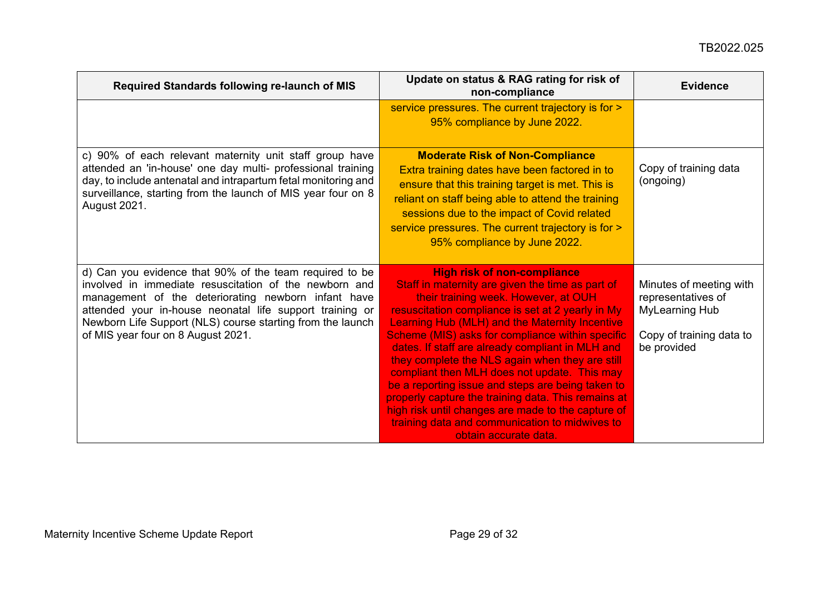| Required Standards following re-launch of MIS                                                                                                                                                                                                                                                                                            | Update on status & RAG rating for risk of<br>non-compliance                                                                                                                                                                                                                                                                                                                                                                                                                                                                                                                                                                                                                                   | <b>Evidence</b>                                                                                                   |
|------------------------------------------------------------------------------------------------------------------------------------------------------------------------------------------------------------------------------------------------------------------------------------------------------------------------------------------|-----------------------------------------------------------------------------------------------------------------------------------------------------------------------------------------------------------------------------------------------------------------------------------------------------------------------------------------------------------------------------------------------------------------------------------------------------------------------------------------------------------------------------------------------------------------------------------------------------------------------------------------------------------------------------------------------|-------------------------------------------------------------------------------------------------------------------|
|                                                                                                                                                                                                                                                                                                                                          | service pressures. The current trajectory is for ><br>95% compliance by June 2022.                                                                                                                                                                                                                                                                                                                                                                                                                                                                                                                                                                                                            |                                                                                                                   |
| c) 90% of each relevant maternity unit staff group have<br>attended an 'in-house' one day multi- professional training<br>day, to include antenatal and intrapartum fetal monitoring and<br>surveillance, starting from the launch of MIS year four on 8<br>August 2021.                                                                 | <b>Moderate Risk of Non-Compliance</b><br>Extra training dates have been factored in to<br>ensure that this training target is met. This is<br>reliant on staff being able to attend the training<br>sessions due to the impact of Covid related<br>service pressures. The current trajectory is for ><br>95% compliance by June 2022.                                                                                                                                                                                                                                                                                                                                                        | Copy of training data<br>(ongoing)                                                                                |
| d) Can you evidence that 90% of the team required to be<br>involved in immediate resuscitation of the newborn and<br>management of the deteriorating newborn infant have<br>attended your in-house neonatal life support training or<br>Newborn Life Support (NLS) course starting from the launch<br>of MIS year four on 8 August 2021. | <b>High risk of non-compliance</b><br>Staff in maternity are given the time as part of<br>their training week. However, at OUH<br>resuscitation compliance is set at 2 yearly in My<br>Learning Hub (MLH) and the Maternity Incentive<br>Scheme (MIS) asks for compliance within specific<br>dates. If staff are already compliant in MLH and<br>they complete the NLS again when they are still<br>compliant then MLH does not update. This may<br>be a reporting issue and steps are being taken to<br>properly capture the training data. This remains at<br>high risk until changes are made to the capture of<br>training data and communication to midwives to<br>obtain accurate data. | Minutes of meeting with<br>representatives of<br><b>MyLearning Hub</b><br>Copy of training data to<br>be provided |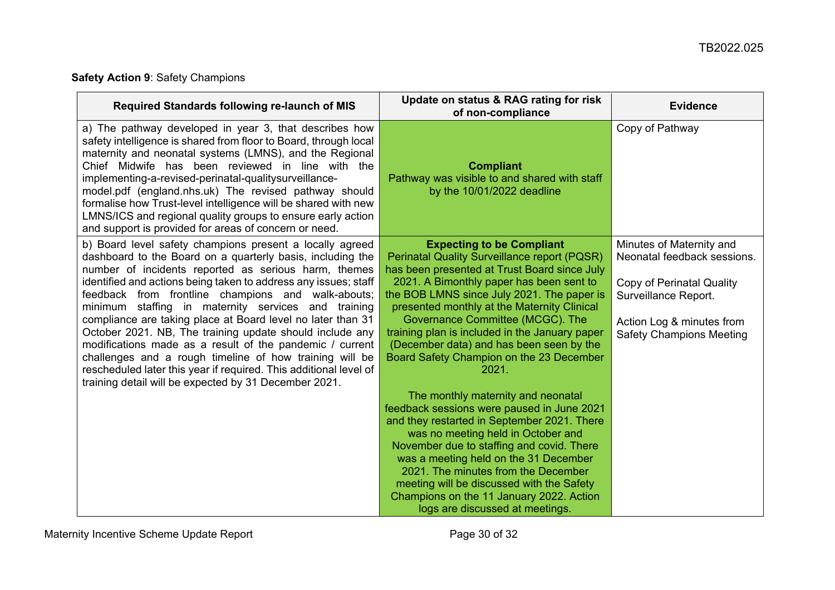# **Safety Action 9**: Safety Champions

<span id="page-29-0"></span>

| Required Standards following re-launch of MIS                                                                                                                                                                                                                                                                                                                                                                                                                                                                                                                                                                                                                                                                                                  | Update on status & RAG rating for risk<br>of non-compliance                                                                                                                                                                                                                                                                                                                                                                                                                                                                                                                                                                                                                                                                                                                                                                                                                                               | <b>Evidence</b>                                                                                                                                                                     |
|------------------------------------------------------------------------------------------------------------------------------------------------------------------------------------------------------------------------------------------------------------------------------------------------------------------------------------------------------------------------------------------------------------------------------------------------------------------------------------------------------------------------------------------------------------------------------------------------------------------------------------------------------------------------------------------------------------------------------------------------|-----------------------------------------------------------------------------------------------------------------------------------------------------------------------------------------------------------------------------------------------------------------------------------------------------------------------------------------------------------------------------------------------------------------------------------------------------------------------------------------------------------------------------------------------------------------------------------------------------------------------------------------------------------------------------------------------------------------------------------------------------------------------------------------------------------------------------------------------------------------------------------------------------------|-------------------------------------------------------------------------------------------------------------------------------------------------------------------------------------|
| a) The pathway developed in year 3, that describes how<br>safety intelligence is shared from floor to Board, through local<br>maternity and neonatal systems (LMNS), and the Regional<br>Chief Midwife has been reviewed in line with the<br>implementing-a-revised-perinatal-qualitysurveillance-<br>model.pdf (england.nhs.uk) The revised pathway should<br>formalise how Trust-level intelligence will be shared with new<br>LMNS/ICS and regional quality groups to ensure early action<br>and support is provided for areas of concern or need.                                                                                                                                                                                          | <b>Compliant</b><br>Pathway was visible to and shared with staff<br>by the 10/01/2022 deadline                                                                                                                                                                                                                                                                                                                                                                                                                                                                                                                                                                                                                                                                                                                                                                                                            | Copy of Pathway                                                                                                                                                                     |
| b) Board level safety champions present a locally agreed<br>dashboard to the Board on a quarterly basis, including the<br>number of incidents reported as serious harm, themes<br>identified and actions being taken to address any issues; staff<br>feedback from frontline champions and walk-abouts;<br>minimum staffing in maternity services and training<br>compliance are taking place at Board level no later than 31<br>October 2021. NB, The training update should include any<br>modifications made as a result of the pandemic / current<br>challenges and a rough timeline of how training will be<br>rescheduled later this year if required. This additional level of<br>training detail will be expected by 31 December 2021. | <b>Expecting to be Compliant</b><br><b>Perinatal Quality Surveillance report (PQSR)</b><br>has been presented at Trust Board since July<br>2021. A Bimonthly paper has been sent to<br>the BOB LMNS since July 2021. The paper is<br>presented monthly at the Maternity Clinical<br>Governance Committee (MCGC). The<br>training plan is included in the January paper<br>(December data) and has been seen by the<br>Board Safety Champion on the 23 December<br>2021.<br>The monthly maternity and neonatal<br>feedback sessions were paused in June 2021<br>and they restarted in September 2021. There<br>was no meeting held in October and<br>November due to staffing and covid. There<br>was a meeting held on the 31 December<br>2021. The minutes from the December<br>meeting will be discussed with the Safety<br>Champions on the 11 January 2022. Action<br>logs are discussed at meetings. | Minutes of Maternity and<br>Neonatal feedback sessions.<br><b>Copy of Perinatal Quality</b><br>Surveillance Report.<br>Action Log & minutes from<br><b>Safety Champions Meeting</b> |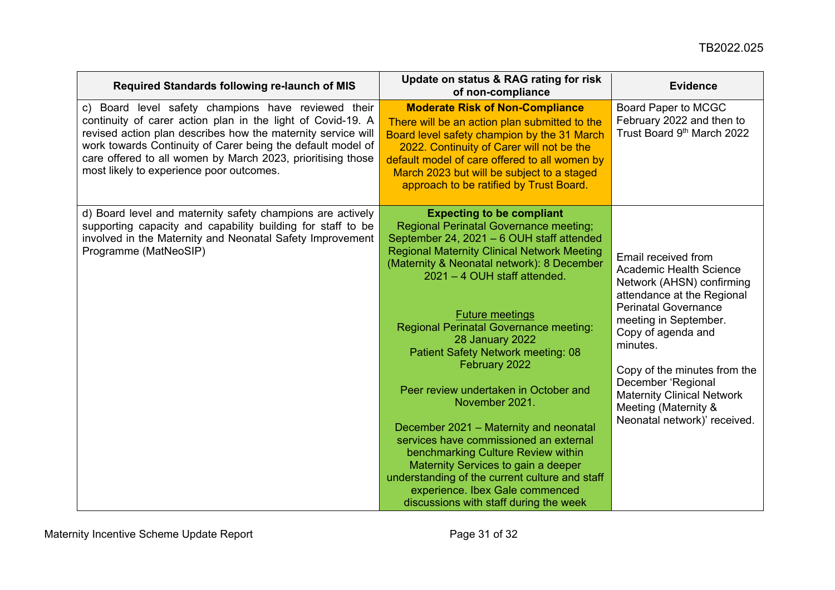| Required Standards following re-launch of MIS                                                                                                                                                                                                                                                                                                                | Update on status & RAG rating for risk<br>of non-compliance                                                                                                                                                                                                                                                                                                                                                                                                                                                                                                                                                                                                                                                                                                                        | <b>Evidence</b>                                                                                                                                                                                                                                                                                                                                        |
|--------------------------------------------------------------------------------------------------------------------------------------------------------------------------------------------------------------------------------------------------------------------------------------------------------------------------------------------------------------|------------------------------------------------------------------------------------------------------------------------------------------------------------------------------------------------------------------------------------------------------------------------------------------------------------------------------------------------------------------------------------------------------------------------------------------------------------------------------------------------------------------------------------------------------------------------------------------------------------------------------------------------------------------------------------------------------------------------------------------------------------------------------------|--------------------------------------------------------------------------------------------------------------------------------------------------------------------------------------------------------------------------------------------------------------------------------------------------------------------------------------------------------|
| c) Board level safety champions have reviewed their<br>continuity of carer action plan in the light of Covid-19. A<br>revised action plan describes how the maternity service will<br>work towards Continuity of Carer being the default model of<br>care offered to all women by March 2023, prioritising those<br>most likely to experience poor outcomes. | <b>Moderate Risk of Non-Compliance</b><br>There will be an action plan submitted to the<br>Board level safety champion by the 31 March<br>2022. Continuity of Carer will not be the<br>default model of care offered to all women by<br>March 2023 but will be subject to a staged<br>approach to be ratified by Trust Board.                                                                                                                                                                                                                                                                                                                                                                                                                                                      | Board Paper to MCGC<br>February 2022 and then to<br>Trust Board 9th March 2022                                                                                                                                                                                                                                                                         |
| d) Board level and maternity safety champions are actively<br>supporting capacity and capability building for staff to be<br>involved in the Maternity and Neonatal Safety Improvement<br>Programme (MatNeoSIP)                                                                                                                                              | <b>Expecting to be compliant</b><br><b>Regional Perinatal Governance meeting;</b><br>September 24, 2021 - 6 OUH staff attended<br><b>Regional Maternity Clinical Network Meeting</b><br>(Maternity & Neonatal network): 8 December<br>2021 - 4 OUH staff attended.<br><b>Future meetings</b><br><b>Regional Perinatal Governance meeting:</b><br>28 January 2022<br>Patient Safety Network meeting: 08<br>February 2022<br>Peer review undertaken in October and<br>November 2021.<br>December 2021 - Maternity and neonatal<br>services have commissioned an external<br>benchmarking Culture Review within<br>Maternity Services to gain a deeper<br>understanding of the current culture and staff<br>experience. Ibex Gale commenced<br>discussions with staff during the week | Email received from<br>Academic Health Science<br>Network (AHSN) confirming<br>attendance at the Regional<br><b>Perinatal Governance</b><br>meeting in September.<br>Copy of agenda and<br>minutes.<br>Copy of the minutes from the<br>December 'Regional<br><b>Maternity Clinical Network</b><br>Meeting (Maternity &<br>Neonatal network)' received. |